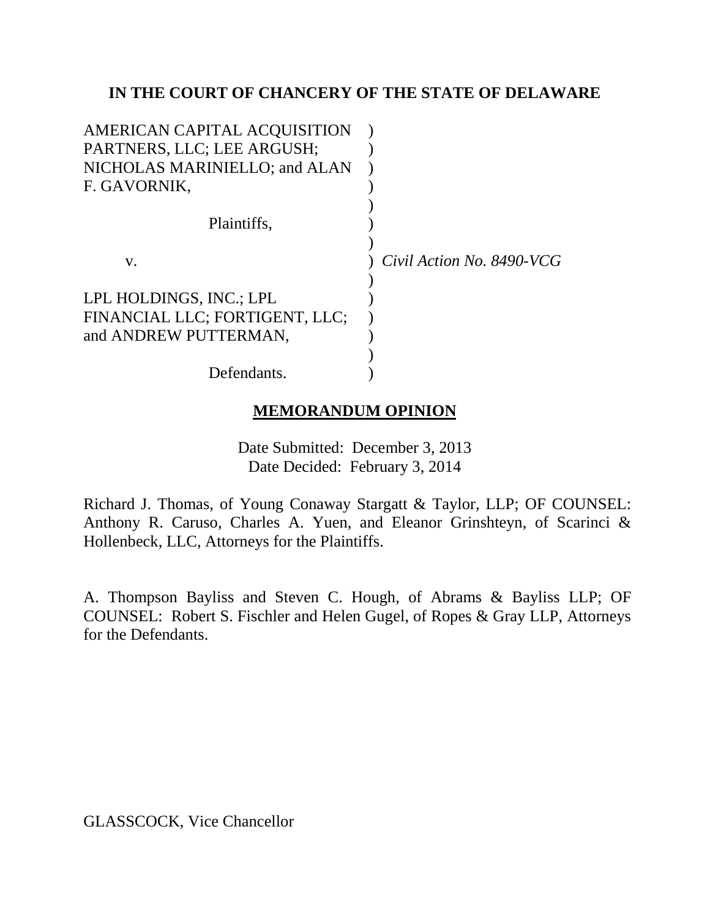# **IN THE COURT OF CHANCERY OF THE STATE OF DELAWARE**

| AMERICAN CAPITAL ACQUISITION   |                           |
|--------------------------------|---------------------------|
| PARTNERS, LLC; LEE ARGUSH;     |                           |
| NICHOLAS MARINIELLO; and ALAN  |                           |
| F. GAVORNIK,                   |                           |
|                                |                           |
| Plaintiffs,                    |                           |
|                                |                           |
| V.                             | Civil Action No. 8490-VCG |
|                                |                           |
| LPL HOLDINGS, INC.; LPL        |                           |
| FINANCIAL LLC; FORTIGENT, LLC; |                           |
| and ANDREW PUTTERMAN,          |                           |
|                                |                           |
| Defendants.                    |                           |
|                                |                           |

# **MEMORANDUM OPINION**

Date Submitted: December 3, 2013 Date Decided: February 3, 2014

Richard J. Thomas, of Young Conaway Stargatt & Taylor, LLP; OF COUNSEL: Anthony R. Caruso, Charles A. Yuen, and Eleanor Grinshteyn, of Scarinci & Hollenbeck, LLC, Attorneys for the Plaintiffs.

A. Thompson Bayliss and Steven C. Hough, of Abrams & Bayliss LLP; OF COUNSEL: Robert S. Fischler and Helen Gugel, of Ropes & Gray LLP, Attorneys for the Defendants.

GLASSCOCK, Vice Chancellor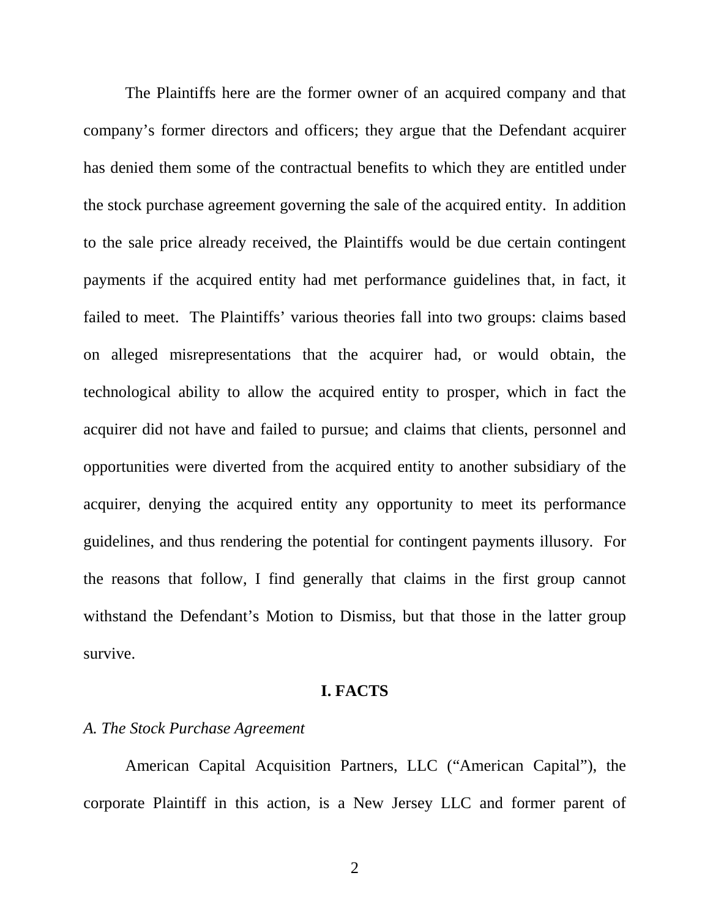The Plaintiffs here are the former owner of an acquired company and that company's former directors and officers; they argue that the Defendant acquirer has denied them some of the contractual benefits to which they are entitled under the stock purchase agreement governing the sale of the acquired entity. In addition to the sale price already received, the Plaintiffs would be due certain contingent payments if the acquired entity had met performance guidelines that, in fact, it failed to meet. The Plaintiffs' various theories fall into two groups: claims based on alleged misrepresentations that the acquirer had, or would obtain, the technological ability to allow the acquired entity to prosper, which in fact the acquirer did not have and failed to pursue; and claims that clients, personnel and opportunities were diverted from the acquired entity to another subsidiary of the acquirer, denying the acquired entity any opportunity to meet its performance guidelines, and thus rendering the potential for contingent payments illusory. For the reasons that follow, I find generally that claims in the first group cannot withstand the Defendant's Motion to Dismiss, but that those in the latter group survive.

### **I. FACTS**

### *A. The Stock Purchase Agreement*

 American Capital Acquisition Partners, LLC ("American Capital"), the corporate Plaintiff in this action, is a New Jersey LLC and former parent of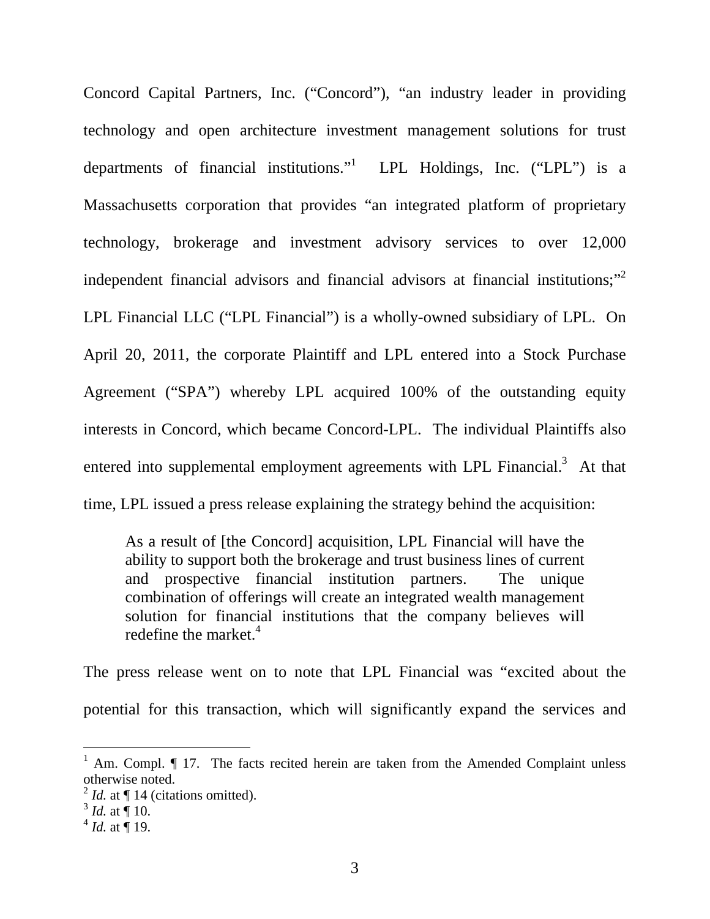Concord Capital Partners, Inc. ("Concord"), "an industry leader in providing technology and open architecture investment management solutions for trust departments of financial institutions." LPL Holdings, Inc. ("LPL") is a Massachusetts corporation that provides "an integrated platform of proprietary technology, brokerage and investment advisory services to over 12,000 independent financial advisors and financial advisors at financial institutions;"<sup>2</sup> LPL Financial LLC ("LPL Financial") is a wholly-owned subsidiary of LPL. On April 20, 2011, the corporate Plaintiff and LPL entered into a Stock Purchase Agreement ("SPA") whereby LPL acquired 100% of the outstanding equity interests in Concord, which became Concord-LPL. The individual Plaintiffs also entered into supplemental employment agreements with LPL Financial. $3$  At that time, LPL issued a press release explaining the strategy behind the acquisition:

As a result of [the Concord] acquisition, LPL Financial will have the ability to support both the brokerage and trust business lines of current and prospective financial institution partners. The unique combination of offerings will create an integrated wealth management solution for financial institutions that the company believes will redefine the market. $4$ 

The press release went on to note that LPL Financial was "excited about the potential for this transaction, which will significantly expand the services and

<sup>&</sup>lt;sup>1</sup> Am. Compl. ¶ 17. The facts recited herein are taken from the Amended Complaint unless otherwise noted.

 $^{2}$  *Id.* at  $\P$  14 (citations omitted).

 $^{3}$  *Id.* at  $\overline{$  10.

 $^{4}$  *Id.* at  $\overline{$  19.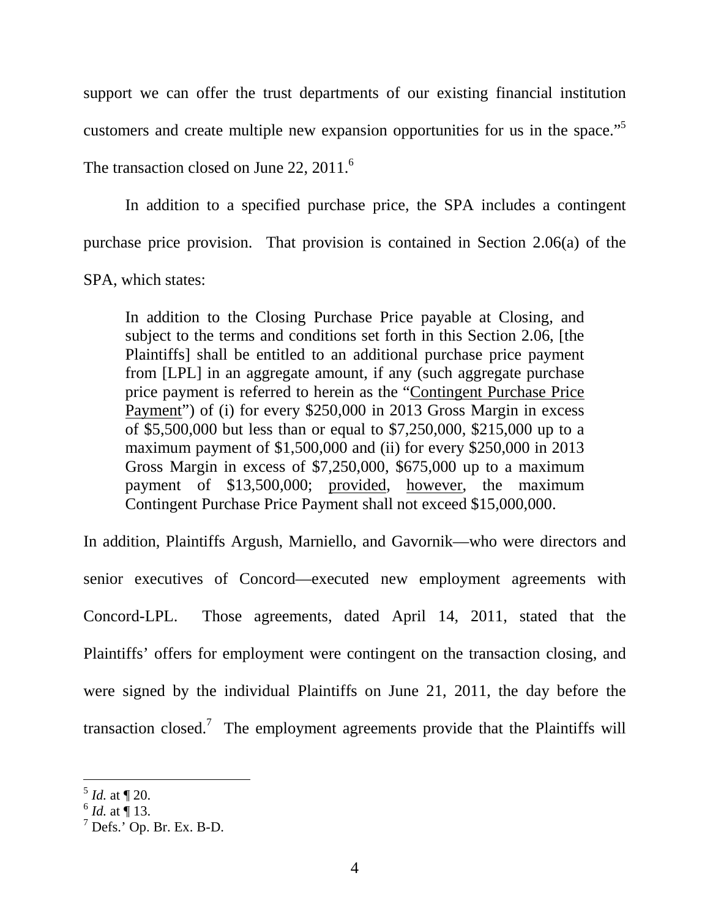support we can offer the trust departments of our existing financial institution customers and create multiple new expansion opportunities for us in the space."<sup>5</sup>

The transaction closed on June 22,  $2011<sup>6</sup>$ 

 In addition to a specified purchase price, the SPA includes a contingent purchase price provision. That provision is contained in Section 2.06(a) of the SPA, which states:

 In addition to the Closing Purchase Price payable at Closing, and subject to the terms and conditions set forth in this Section 2.06, [the Plaintiffs] shall be entitled to an additional purchase price payment from [LPL] in an aggregate amount, if any (such aggregate purchase price payment is referred to herein as the "Contingent Purchase Price Payment") of (i) for every \$250,000 in 2013 Gross Margin in excess of \$5,500,000 but less than or equal to \$7,250,000, \$215,000 up to a maximum payment of \$1,500,000 and (ii) for every \$250,000 in 2013 Gross Margin in excess of \$7,250,000, \$675,000 up to a maximum payment of \$13,500,000; provided, however, the maximum Contingent Purchase Price Payment shall not exceed \$15,000,000.

In addition, Plaintiffs Argush, Marniello, and Gavornik—who were directors and senior executives of Concord—executed new employment agreements with Concord-LPL. Those agreements, dated April 14, 2011, stated that the Plaintiffs' offers for employment were contingent on the transaction closing, and were signed by the individual Plaintiffs on June 21, 2011, the day before the transaction closed.<sup>7</sup> The employment agreements provide that the Plaintiffs will

 $\frac{5}{1}$ *Id.* at  $\sqrt{20}$ .

 $^{6}$  *Id.* at  $\overline{)}$  13.

 $^7$  Defs.' Op. Br. Ex. B-D.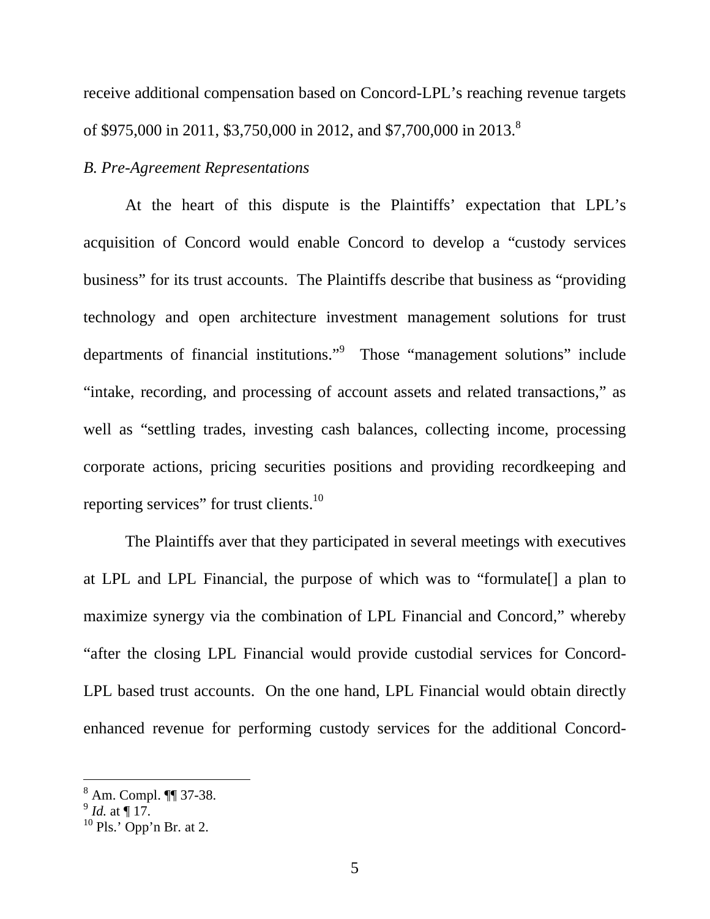receive additional compensation based on Concord-LPL's reaching revenue targets of \$975,000 in 2011, \$3,750,000 in 2012, and \$7,700,000 in 2013.<sup>8</sup>

### *B. Pre-Agreement Representations*

 At the heart of this dispute is the Plaintiffs' expectation that LPL's acquisition of Concord would enable Concord to develop a "custody services business" for its trust accounts. The Plaintiffs describe that business as "providing technology and open architecture investment management solutions for trust departments of financial institutions."<sup>9</sup> Those "management solutions" include "intake, recording, and processing of account assets and related transactions," as well as "settling trades, investing cash balances, collecting income, processing corporate actions, pricing securities positions and providing recordkeeping and reporting services" for trust clients.<sup>10</sup>

The Plaintiffs aver that they participated in several meetings with executives at LPL and LPL Financial, the purpose of which was to "formulate[] a plan to maximize synergy via the combination of LPL Financial and Concord," whereby "after the closing LPL Financial would provide custodial services for Concord-LPL based trust accounts. On the one hand, LPL Financial would obtain directly enhanced revenue for performing custody services for the additional Concord-

<sup>8</sup> Am. Compl. ¶¶ 37-38.

 $^{9}$  *Id.* at  $\P$  17.

 $10$  Pls.' Opp'n Br. at 2.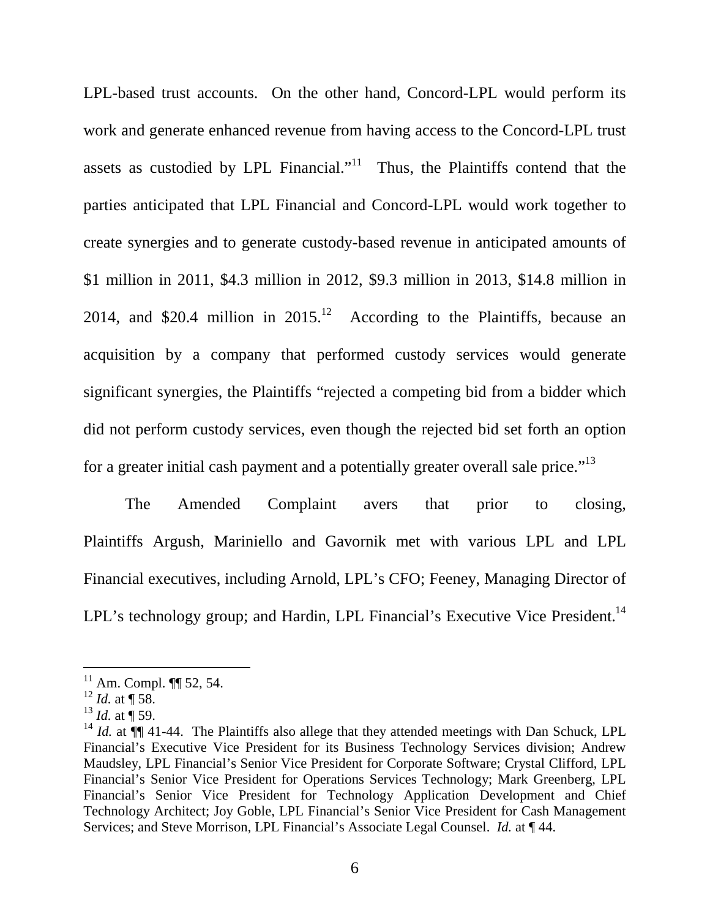LPL-based trust accounts. On the other hand, Concord-LPL would perform its work and generate enhanced revenue from having access to the Concord-LPL trust assets as custodied by LPL Financial."<sup>11</sup> Thus, the Plaintiffs contend that the parties anticipated that LPL Financial and Concord-LPL would work together to create synergies and to generate custody-based revenue in anticipated amounts of \$1 million in 2011, \$4.3 million in 2012, \$9.3 million in 2013, \$14.8 million in 2014, and \$20.4 million in  $2015<sup>12</sup>$  According to the Plaintiffs, because an acquisition by a company that performed custody services would generate significant synergies, the Plaintiffs "rejected a competing bid from a bidder which did not perform custody services, even though the rejected bid set forth an option for a greater initial cash payment and a potentially greater overall sale price."<sup>13</sup>

The Amended Complaint avers that prior to closing, Plaintiffs Argush, Mariniello and Gavornik met with various LPL and LPL Financial executives, including Arnold, LPL's CFO; Feeney, Managing Director of LPL's technology group; and Hardin, LPL Financial's Executive Vice President.<sup>14</sup>

 $11$  Am. Compl.  $\P\P$  52, 54.

 $12$  *Id.* at  $\P$  58.

 $^{13}$  *Id.* at  $\frac{1}{9}$  59.

<sup>&</sup>lt;sup>14</sup> *Id.* at  $\P$  41-44. The Plaintiffs also allege that they attended meetings with Dan Schuck, LPL Financial's Executive Vice President for its Business Technology Services division; Andrew Maudsley, LPL Financial's Senior Vice President for Corporate Software; Crystal Clifford, LPL Financial's Senior Vice President for Operations Services Technology; Mark Greenberg, LPL Financial's Senior Vice President for Technology Application Development and Chief Technology Architect; Joy Goble, LPL Financial's Senior Vice President for Cash Management Services; and Steve Morrison, LPL Financial's Associate Legal Counsel. *Id.* at ¶ 44.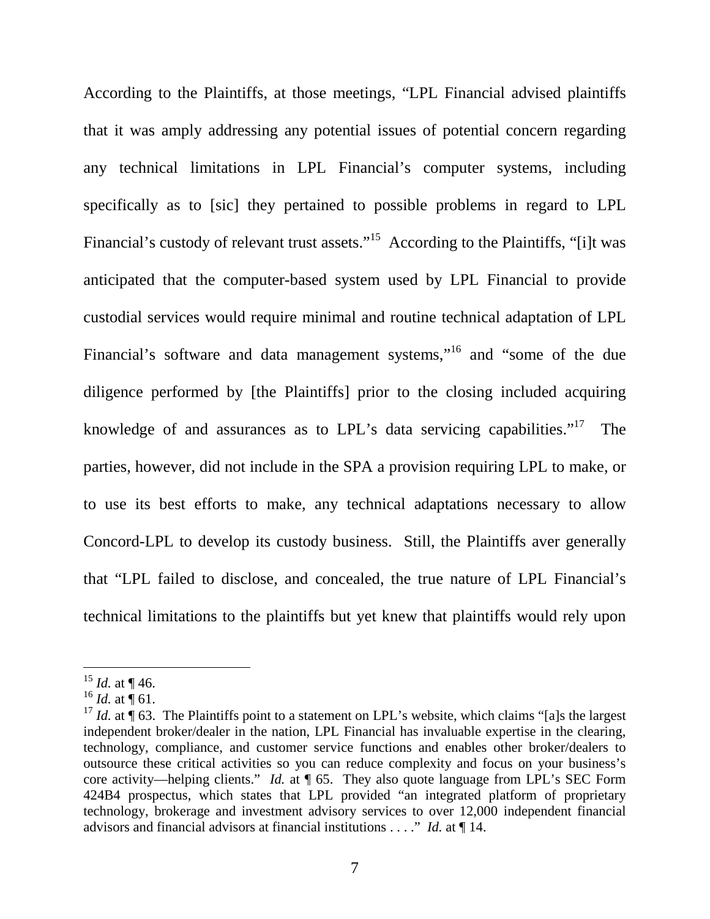According to the Plaintiffs, at those meetings, "LPL Financial advised plaintiffs that it was amply addressing any potential issues of potential concern regarding any technical limitations in LPL Financial's computer systems, including specifically as to [sic] they pertained to possible problems in regard to LPL Financial's custody of relevant trust assets."<sup>15</sup> According to the Plaintiffs, "[i]t was anticipated that the computer-based system used by LPL Financial to provide custodial services would require minimal and routine technical adaptation of LPL Financial's software and data management systems,"<sup>16</sup> and "some of the due diligence performed by [the Plaintiffs] prior to the closing included acquiring knowledge of and assurances as to LPL's data servicing capabilities."<sup>17</sup> The parties, however, did not include in the SPA a provision requiring LPL to make, or to use its best efforts to make, any technical adaptations necessary to allow Concord-LPL to develop its custody business. Still, the Plaintiffs aver generally that "LPL failed to disclose, and concealed, the true nature of LPL Financial's technical limitations to the plaintiffs but yet knew that plaintiffs would rely upon

<sup>&</sup>lt;sup>15</sup> *Id.* at  $\P$  46.

<sup>&</sup>lt;sup>16</sup> *Id.* at  $\int$  61.

<sup>&</sup>lt;sup>17</sup> *Id.* at  $\hat{\mathbf{T}}$  63. The Plaintiffs point to a statement on LPL's website, which claims "[a]s the largest independent broker/dealer in the nation, LPL Financial has invaluable expertise in the clearing, technology, compliance, and customer service functions and enables other broker/dealers to outsource these critical activities so you can reduce complexity and focus on your business's core activity—helping clients." *Id.* at ¶ 65. They also quote language from LPL's SEC Form 424B4 prospectus, which states that LPL provided "an integrated platform of proprietary technology, brokerage and investment advisory services to over 12,000 independent financial advisors and financial advisors at financial institutions . . . ." *Id.* at ¶ 14.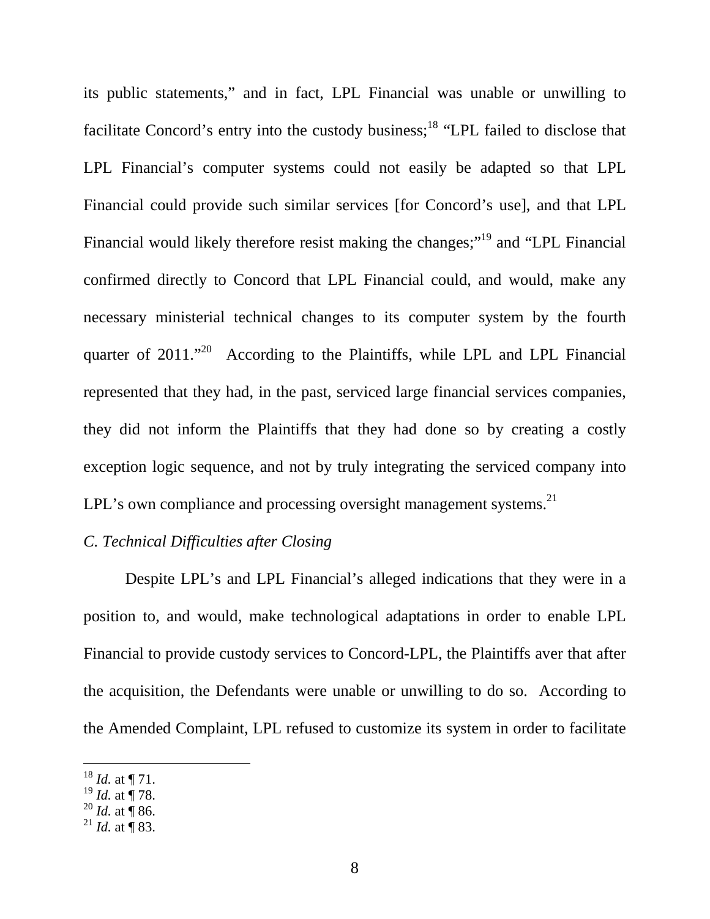its public statements," and in fact, LPL Financial was unable or unwilling to facilitate Concord's entry into the custody business;<sup>18</sup> "LPL failed to disclose that LPL Financial's computer systems could not easily be adapted so that LPL Financial could provide such similar services [for Concord's use], and that LPL Financial would likely therefore resist making the changes;"<sup>19</sup> and "LPL Financial" confirmed directly to Concord that LPL Financial could, and would, make any necessary ministerial technical changes to its computer system by the fourth quarter of 2011."<sup>20</sup> According to the Plaintiffs, while LPL and LPL Financial represented that they had, in the past, serviced large financial services companies, they did not inform the Plaintiffs that they had done so by creating a costly exception logic sequence, and not by truly integrating the serviced company into LPL's own compliance and processing oversight management systems. $^{21}$ 

# *C. Technical Difficulties after Closing*

 Despite LPL's and LPL Financial's alleged indications that they were in a position to, and would, make technological adaptations in order to enable LPL Financial to provide custody services to Concord-LPL, the Plaintiffs aver that after the acquisition, the Defendants were unable or unwilling to do so. According to the Amended Complaint, LPL refused to customize its system in order to facilitate

 $18$  *Id.* at  $\P$  71.

 $^{19}$  *Id.* at  $\frac{1}{3}$  78.

 $^{20}$  *Id.* at ¶ 86.

<sup>&</sup>lt;sup>21</sup> *Id.* at  $\overline{9}$  83.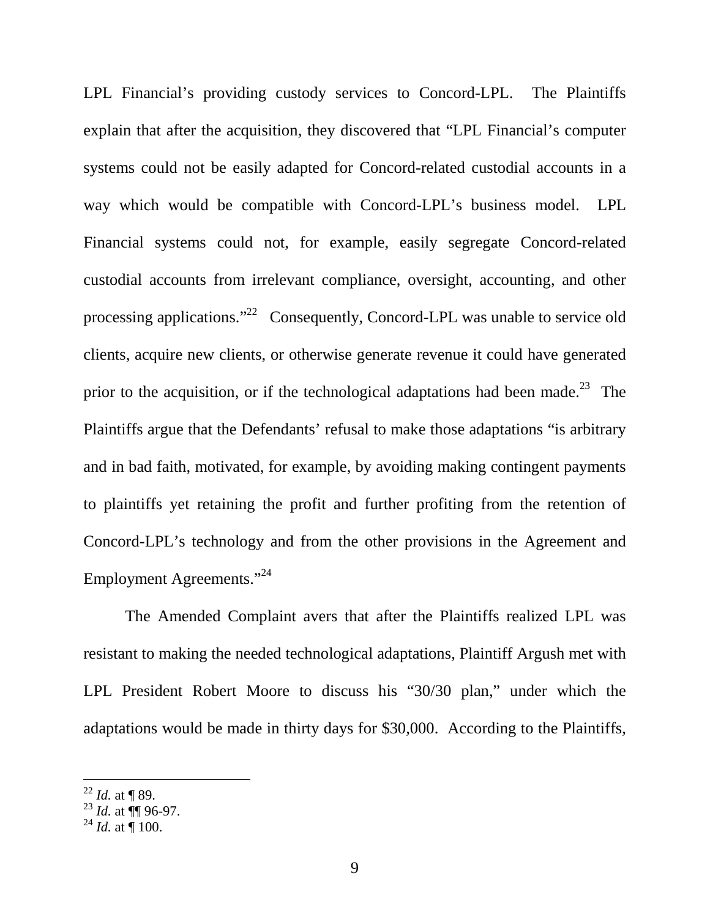LPL Financial's providing custody services to Concord-LPL. The Plaintiffs explain that after the acquisition, they discovered that "LPL Financial's computer systems could not be easily adapted for Concord-related custodial accounts in a way which would be compatible with Concord-LPL's business model. LPL Financial systems could not, for example, easily segregate Concord-related custodial accounts from irrelevant compliance, oversight, accounting, and other processing applications."<sup>22</sup> Consequently, Concord-LPL was unable to service old clients, acquire new clients, or otherwise generate revenue it could have generated prior to the acquisition, or if the technological adaptations had been made.<sup>23</sup> The Plaintiffs argue that the Defendants' refusal to make those adaptations "is arbitrary and in bad faith, motivated, for example, by avoiding making contingent payments to plaintiffs yet retaining the profit and further profiting from the retention of Concord-LPL's technology and from the other provisions in the Agreement and Employment Agreements."<sup>24</sup>

 The Amended Complaint avers that after the Plaintiffs realized LPL was resistant to making the needed technological adaptations, Plaintiff Argush met with LPL President Robert Moore to discuss his "30/30 plan," under which the adaptations would be made in thirty days for \$30,000. According to the Plaintiffs,

 $^{22}$  *Id.* at ¶ 89.

 $^{23}$  *Id.* at  $\sqrt{\ }$  96-97.

 $^{24}$  *Id.* at  $\overline{100}$ .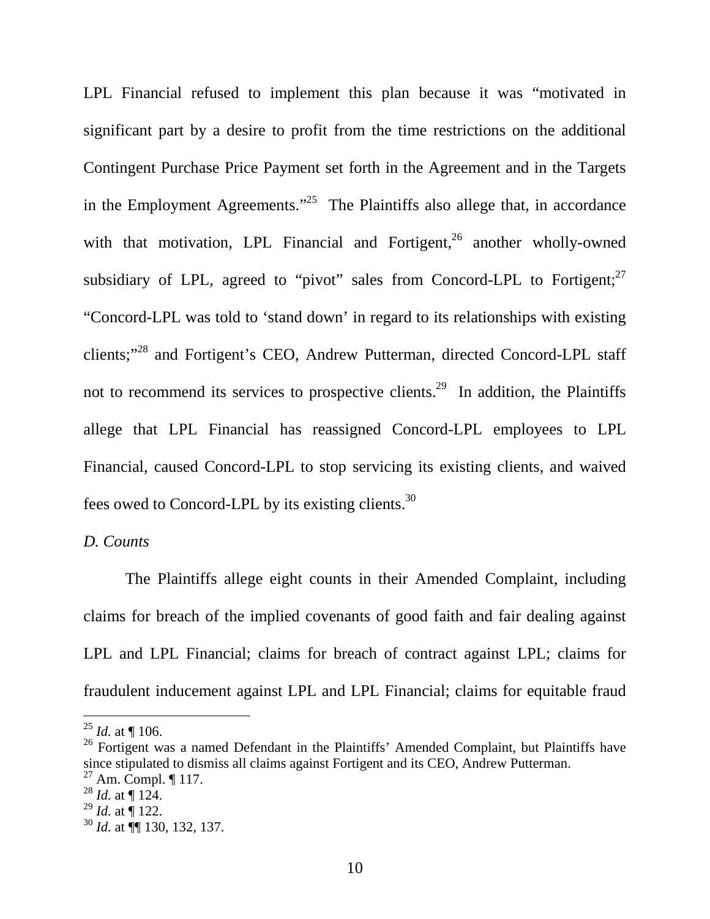LPL Financial refused to implement this plan because it was "motivated in significant part by a desire to profit from the time restrictions on the additional Contingent Purchase Price Payment set forth in the Agreement and in the Targets in the Employment Agreements."<sup>25</sup> The Plaintiffs also allege that, in accordance with that motivation, LPL Financial and Fortigent, $^{26}$  another wholly-owned subsidiary of LPL, agreed to "pivot" sales from Concord-LPL to Fortigent; $27$ "Concord-LPL was told to 'stand down' in regard to its relationships with existing clients;"<sup>28</sup> and Fortigent's CEO, Andrew Putterman, directed Concord-LPL staff not to recommend its services to prospective clients.<sup>29</sup> In addition, the Plaintiffs allege that LPL Financial has reassigned Concord-LPL employees to LPL Financial, caused Concord-LPL to stop servicing its existing clients, and waived fees owed to Concord-LPL by its existing clients.<sup>30</sup>

*D. Counts* 

The Plaintiffs allege eight counts in their Amended Complaint, including claims for breach of the implied covenants of good faith and fair dealing against LPL and LPL Financial; claims for breach of contract against LPL; claims for fraudulent inducement against LPL and LPL Financial; claims for equitable fraud

 $^{25}$  *Id.* at  $\P$  106.

<sup>&</sup>lt;sup>26</sup> Fortigent was a named Defendant in the Plaintiffs' Amended Complaint, but Plaintiffs have since stipulated to dismiss all claims against Fortigent and its CEO, Andrew Putterman.

 $^{27}$  Am. Compl. ¶ 117.

 $^{28}$  *Id.* at ¶ 124.

 $^{29}$  *Id.* at  $\frac{1}{9}$  122.

<sup>30</sup> *Id.* at ¶¶ 130, 132, 137.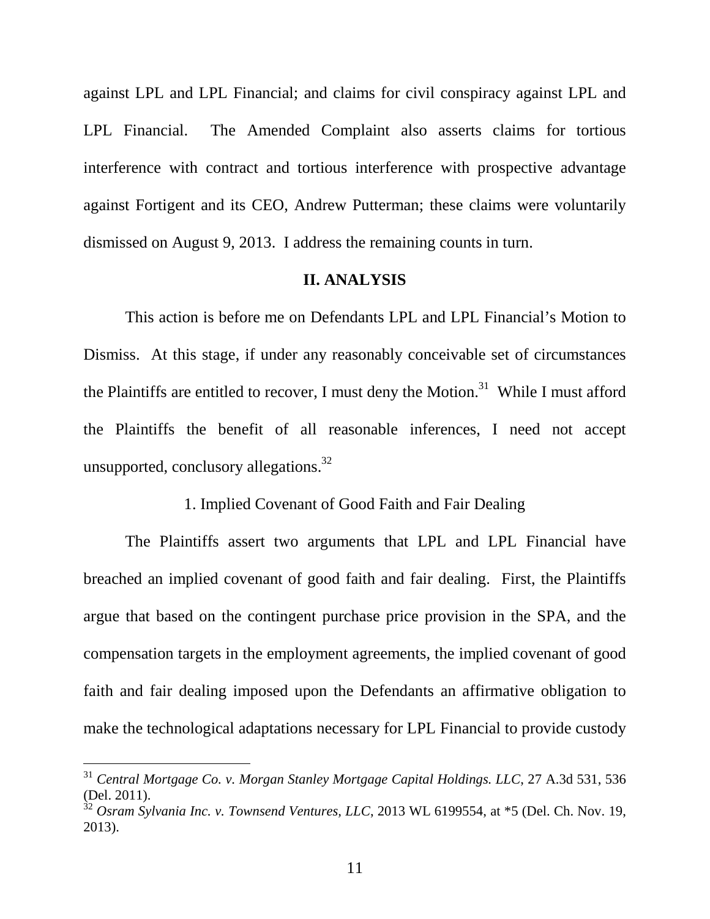against LPL and LPL Financial; and claims for civil conspiracy against LPL and LPL Financial. The Amended Complaint also asserts claims for tortious interference with contract and tortious interference with prospective advantage against Fortigent and its CEO, Andrew Putterman; these claims were voluntarily dismissed on August 9, 2013. I address the remaining counts in turn.

#### **II. ANALYSIS**

 This action is before me on Defendants LPL and LPL Financial's Motion to Dismiss. At this stage, if under any reasonably conceivable set of circumstances the Plaintiffs are entitled to recover, I must deny the Motion.<sup>31</sup> While I must afford the Plaintiffs the benefit of all reasonable inferences, I need not accept unsupported, conclusory allegations. $32$ 

### 1. Implied Covenant of Good Faith and Fair Dealing

 The Plaintiffs assert two arguments that LPL and LPL Financial have breached an implied covenant of good faith and fair dealing. First, the Plaintiffs argue that based on the contingent purchase price provision in the SPA, and the compensation targets in the employment agreements, the implied covenant of good faith and fair dealing imposed upon the Defendants an affirmative obligation to make the technological adaptations necessary for LPL Financial to provide custody

<sup>31</sup> *Central Mortgage Co. v. Morgan Stanley Mortgage Capital Holdings. LLC*, 27 A.3d 531, 536 (Del. 2011).

<sup>&</sup>lt;sup>32</sup> Osram Sylvania Inc. v. Townsend Ventures, LLC, 2013 WL 6199554, at \*5 (Del. Ch. Nov. 19, 2013).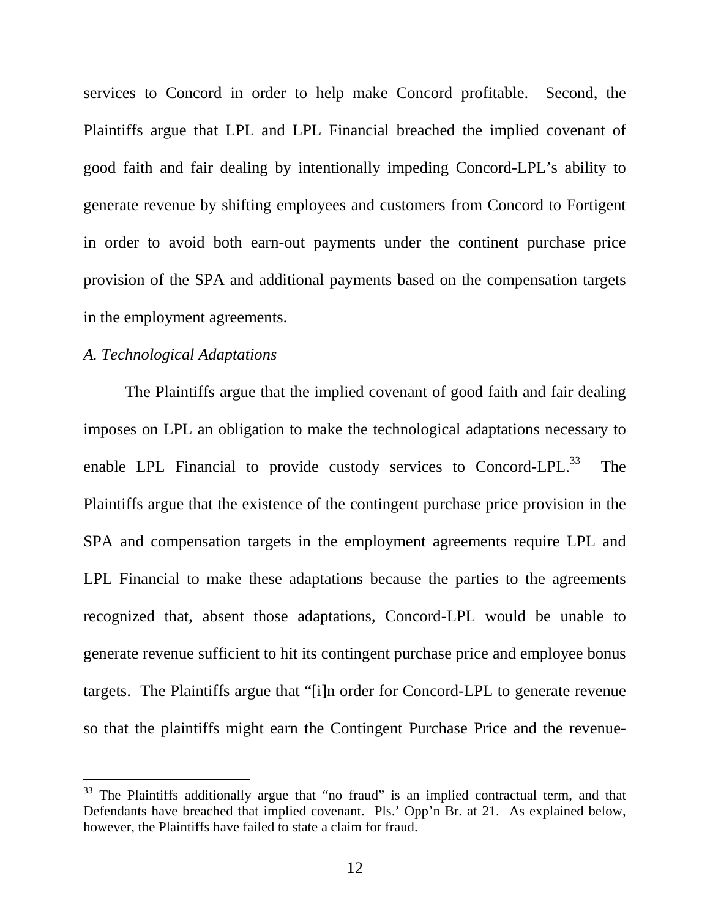services to Concord in order to help make Concord profitable. Second, the Plaintiffs argue that LPL and LPL Financial breached the implied covenant of good faith and fair dealing by intentionally impeding Concord-LPL's ability to generate revenue by shifting employees and customers from Concord to Fortigent in order to avoid both earn-out payments under the continent purchase price provision of the SPA and additional payments based on the compensation targets in the employment agreements.

## *A. Technological Adaptations*

-

 The Plaintiffs argue that the implied covenant of good faith and fair dealing imposes on LPL an obligation to make the technological adaptations necessary to enable LPL Financial to provide custody services to Concord-LPL. $^{33}$  The Plaintiffs argue that the existence of the contingent purchase price provision in the SPA and compensation targets in the employment agreements require LPL and LPL Financial to make these adaptations because the parties to the agreements recognized that, absent those adaptations, Concord-LPL would be unable to generate revenue sufficient to hit its contingent purchase price and employee bonus targets. The Plaintiffs argue that "[i]n order for Concord-LPL to generate revenue so that the plaintiffs might earn the Contingent Purchase Price and the revenue-

 $33$  The Plaintiffs additionally argue that "no fraud" is an implied contractual term, and that Defendants have breached that implied covenant. Pls.' Opp'n Br. at 21. As explained below, however, the Plaintiffs have failed to state a claim for fraud.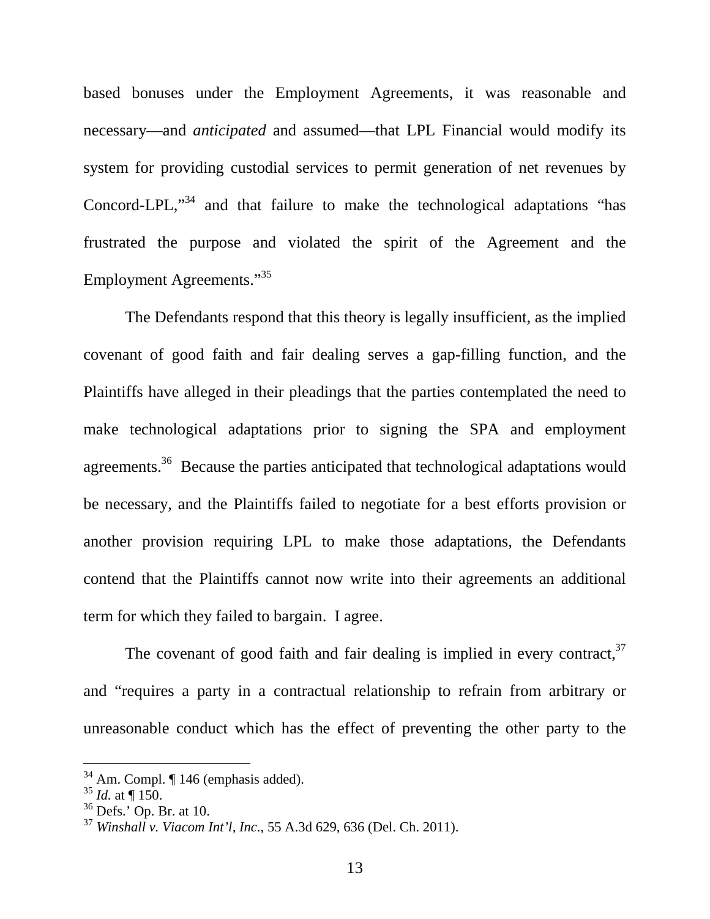based bonuses under the Employment Agreements, it was reasonable and necessary—and *anticipated* and assumed—that LPL Financial would modify its system for providing custodial services to permit generation of net revenues by Concord-LPL,"<sup>34</sup> and that failure to make the technological adaptations "has frustrated the purpose and violated the spirit of the Agreement and the Employment Agreements."<sup>35</sup>

 The Defendants respond that this theory is legally insufficient, as the implied covenant of good faith and fair dealing serves a gap-filling function, and the Plaintiffs have alleged in their pleadings that the parties contemplated the need to make technological adaptations prior to signing the SPA and employment agreements.<sup>36</sup> Because the parties anticipated that technological adaptations would be necessary, and the Plaintiffs failed to negotiate for a best efforts provision or another provision requiring LPL to make those adaptations, the Defendants contend that the Plaintiffs cannot now write into their agreements an additional term for which they failed to bargain. I agree.

The covenant of good faith and fair dealing is implied in every contract,  $37$ and "requires a party in a contractual relationship to refrain from arbitrary or unreasonable conduct which has the effect of preventing the other party to the

 $34$  Am. Compl.  $\P$  146 (emphasis added).

 $35$  *Id.* at  $\P$  150.

 $36$  Defs.' Op. Br. at 10.

<sup>37</sup> *Winshall v. Viacom Int'l, Inc*., 55 A.3d 629, 636 (Del. Ch. 2011).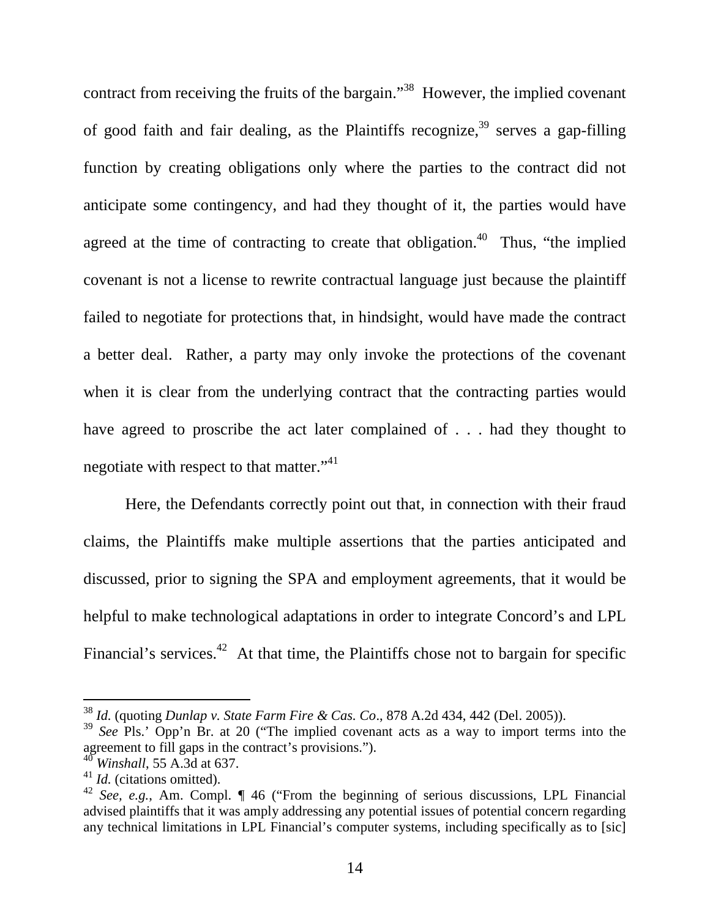contract from receiving the fruits of the bargain."<sup>38</sup> However, the implied covenant of good faith and fair dealing, as the Plaintiffs recognize,<sup>39</sup> serves a gap-filling function by creating obligations only where the parties to the contract did not anticipate some contingency, and had they thought of it, the parties would have agreed at the time of contracting to create that obligation.<sup>40</sup> Thus, "the implied covenant is not a license to rewrite contractual language just because the plaintiff failed to negotiate for protections that, in hindsight, would have made the contract a better deal. Rather, a party may only invoke the protections of the covenant when it is clear from the underlying contract that the contracting parties would have agreed to proscribe the act later complained of . . . had they thought to negotiate with respect to that matter."<sup>41</sup>

 Here, the Defendants correctly point out that, in connection with their fraud claims, the Plaintiffs make multiple assertions that the parties anticipated and discussed, prior to signing the SPA and employment agreements, that it would be helpful to make technological adaptations in order to integrate Concord's and LPL Financial's services.<sup>42</sup> At that time, the Plaintiffs chose not to bargain for specific

<sup>38</sup> *Id.* (quoting *Dunlap v. State Farm Fire & Cas. Co*., 878 A.2d 434, 442 (Del. 2005)).

<sup>&</sup>lt;sup>39</sup> See Pls.' Opp'n Br. at 20 ("The implied covenant acts as a way to import terms into the agreement to fill gaps in the contract's provisions.").

<sup>40</sup> *Winshall*, 55 A.3d at 637.

<sup>41</sup> *Id.* (citations omitted).

<sup>42</sup> *See, e.g.*, Am. Compl. ¶ 46 ("From the beginning of serious discussions, LPL Financial advised plaintiffs that it was amply addressing any potential issues of potential concern regarding any technical limitations in LPL Financial's computer systems, including specifically as to [sic]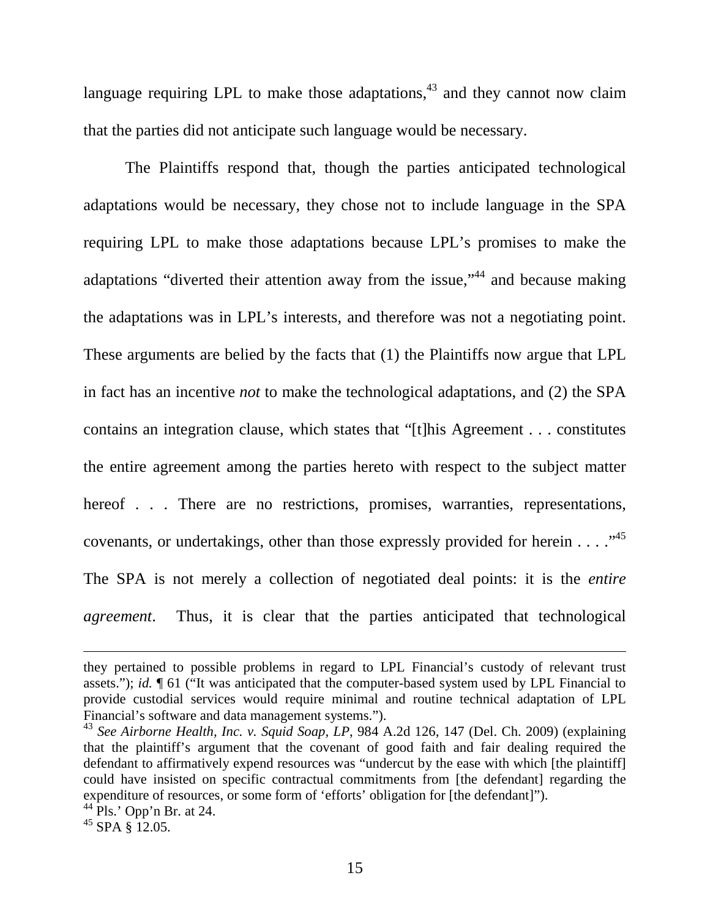language requiring LPL to make those adaptations,  $43$  and they cannot now claim that the parties did not anticipate such language would be necessary.

 The Plaintiffs respond that, though the parties anticipated technological adaptations would be necessary, they chose not to include language in the SPA requiring LPL to make those adaptations because LPL's promises to make the adaptations "diverted their attention away from the issue,"<sup>44</sup> and because making the adaptations was in LPL's interests, and therefore was not a negotiating point. These arguments are belied by the facts that (1) the Plaintiffs now argue that LPL in fact has an incentive *not* to make the technological adaptations, and (2) the SPA contains an integration clause, which states that "[t]his Agreement . . . constitutes the entire agreement among the parties hereto with respect to the subject matter hereof . . . There are no restrictions, promises, warranties, representations, covenants, or undertakings, other than those expressly provided for herein  $\dots$ .  $\cdot$ <sup>45</sup> The SPA is not merely a collection of negotiated deal points: it is the *entire agreement*. Thus, it is clear that the parties anticipated that technological

they pertained to possible problems in regard to LPL Financial's custody of relevant trust assets."); *id.* ¶ 61 ("It was anticipated that the computer-based system used by LPL Financial to provide custodial services would require minimal and routine technical adaptation of LPL Financial's software and data management systems.").

<sup>43</sup> *See Airborne Health, Inc. v. Squid Soap, LP*, 984 A.2d 126, 147 (Del. Ch. 2009) (explaining that the plaintiff's argument that the covenant of good faith and fair dealing required the defendant to affirmatively expend resources was "undercut by the ease with which [the plaintiff] could have insisted on specific contractual commitments from [the defendant] regarding the expenditure of resources, or some form of 'efforts' obligation for [the defendant]").

 $^{44}$  Pls.' Opp'n Br. at 24.

 $45$  SPA  $\S$  12.05.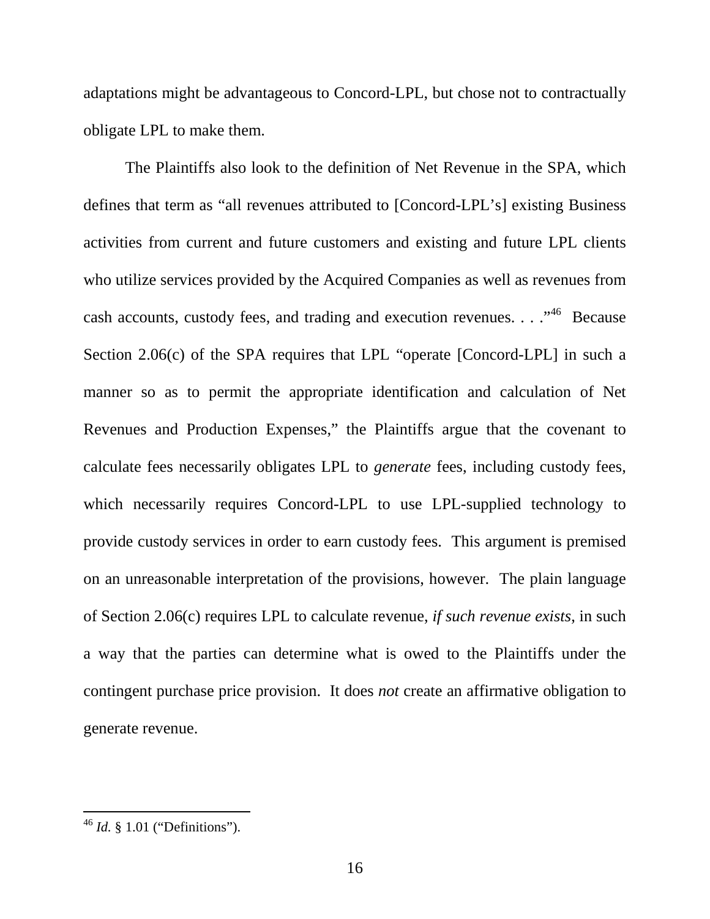adaptations might be advantageous to Concord-LPL, but chose not to contractually obligate LPL to make them.

 The Plaintiffs also look to the definition of Net Revenue in the SPA, which defines that term as "all revenues attributed to [Concord-LPL's] existing Business activities from current and future customers and existing and future LPL clients who utilize services provided by the Acquired Companies as well as revenues from cash accounts, custody fees, and trading and execution revenues. . . .<sup>46</sup> Because Section 2.06(c) of the SPA requires that LPL "operate [Concord-LPL] in such a manner so as to permit the appropriate identification and calculation of Net Revenues and Production Expenses," the Plaintiffs argue that the covenant to calculate fees necessarily obligates LPL to *generate* fees, including custody fees, which necessarily requires Concord-LPL to use LPL-supplied technology to provide custody services in order to earn custody fees. This argument is premised on an unreasonable interpretation of the provisions, however. The plain language of Section 2.06(c) requires LPL to calculate revenue, *if such revenue exists*, in such a way that the parties can determine what is owed to the Plaintiffs under the contingent purchase price provision. It does *not* create an affirmative obligation to generate revenue.

<sup>46</sup> *Id.* § 1.01 ("Definitions").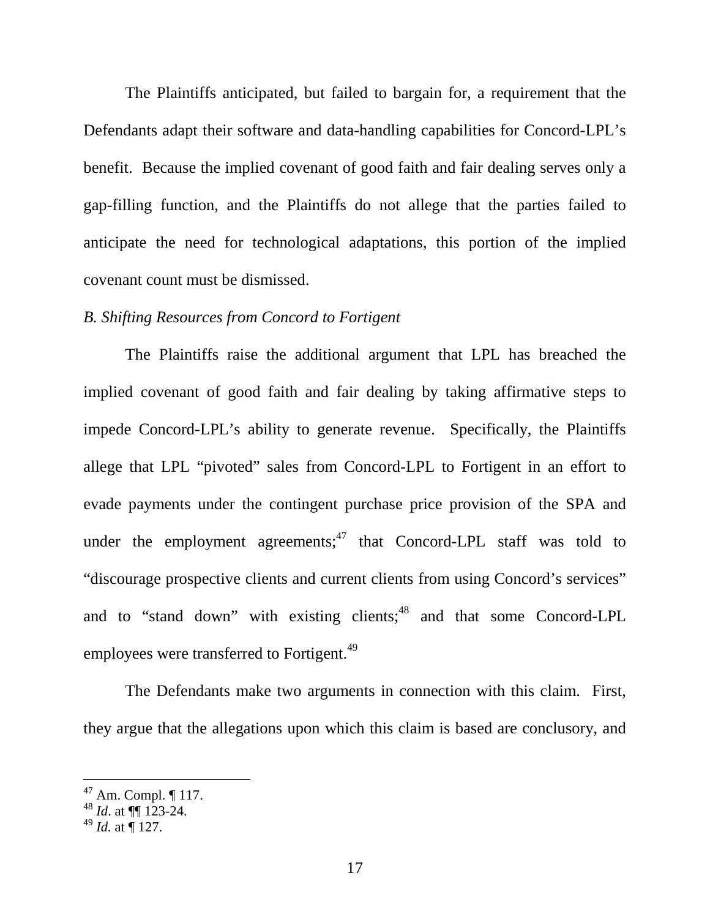The Plaintiffs anticipated, but failed to bargain for, a requirement that the Defendants adapt their software and data-handling capabilities for Concord-LPL's benefit. Because the implied covenant of good faith and fair dealing serves only a gap-filling function, and the Plaintiffs do not allege that the parties failed to anticipate the need for technological adaptations, this portion of the implied covenant count must be dismissed.

### *B. Shifting Resources from Concord to Fortigent*

 The Plaintiffs raise the additional argument that LPL has breached the implied covenant of good faith and fair dealing by taking affirmative steps to impede Concord-LPL's ability to generate revenue. Specifically, the Plaintiffs allege that LPL "pivoted" sales from Concord-LPL to Fortigent in an effort to evade payments under the contingent purchase price provision of the SPA and under the employment agreements; $47$  that Concord-LPL staff was told to "discourage prospective clients and current clients from using Concord's services" and to "stand down" with existing clients;<sup>48</sup> and that some Concord-LPL employees were transferred to Fortigent.<sup>49</sup>

 The Defendants make two arguments in connection with this claim. First, they argue that the allegations upon which this claim is based are conclusory, and

 $47$  Am. Compl.  $\P$  117.

<sup>48</sup> *Id*. at ¶¶ 123-24.

 $^{49}$  *Id.* at  $\overline{9}$  127.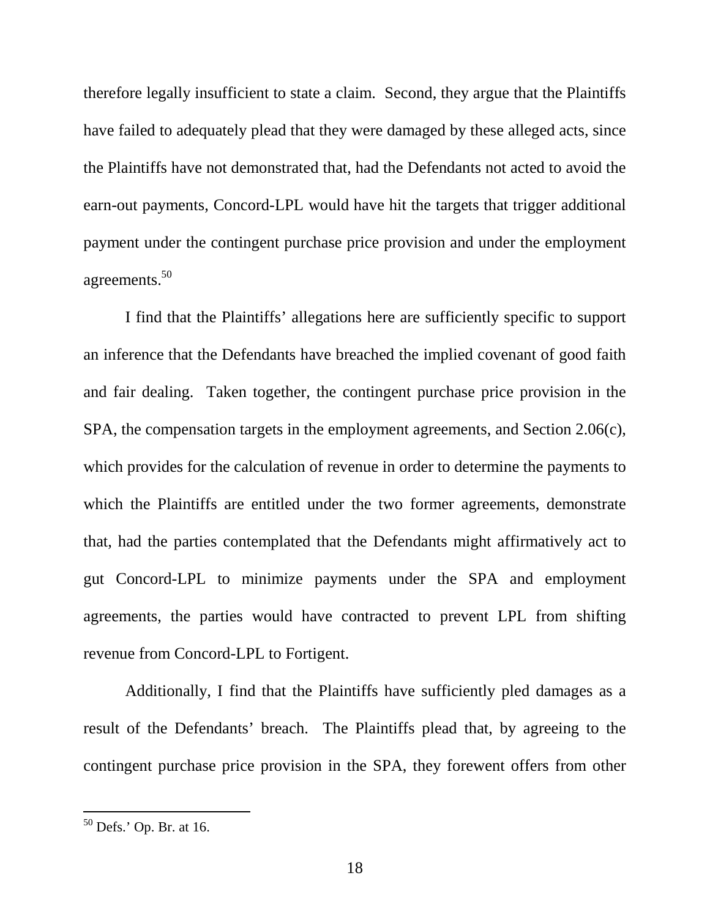therefore legally insufficient to state a claim. Second, they argue that the Plaintiffs have failed to adequately plead that they were damaged by these alleged acts, since the Plaintiffs have not demonstrated that, had the Defendants not acted to avoid the earn-out payments, Concord-LPL would have hit the targets that trigger additional payment under the contingent purchase price provision and under the employment agreements.<sup>50</sup>

 I find that the Plaintiffs' allegations here are sufficiently specific to support an inference that the Defendants have breached the implied covenant of good faith and fair dealing. Taken together, the contingent purchase price provision in the SPA, the compensation targets in the employment agreements, and Section 2.06(c), which provides for the calculation of revenue in order to determine the payments to which the Plaintiffs are entitled under the two former agreements, demonstrate that, had the parties contemplated that the Defendants might affirmatively act to gut Concord-LPL to minimize payments under the SPA and employment agreements, the parties would have contracted to prevent LPL from shifting revenue from Concord-LPL to Fortigent.

 Additionally, I find that the Plaintiffs have sufficiently pled damages as a result of the Defendants' breach. The Plaintiffs plead that, by agreeing to the contingent purchase price provision in the SPA, they forewent offers from other

 $50$  Defs.' Op. Br. at 16.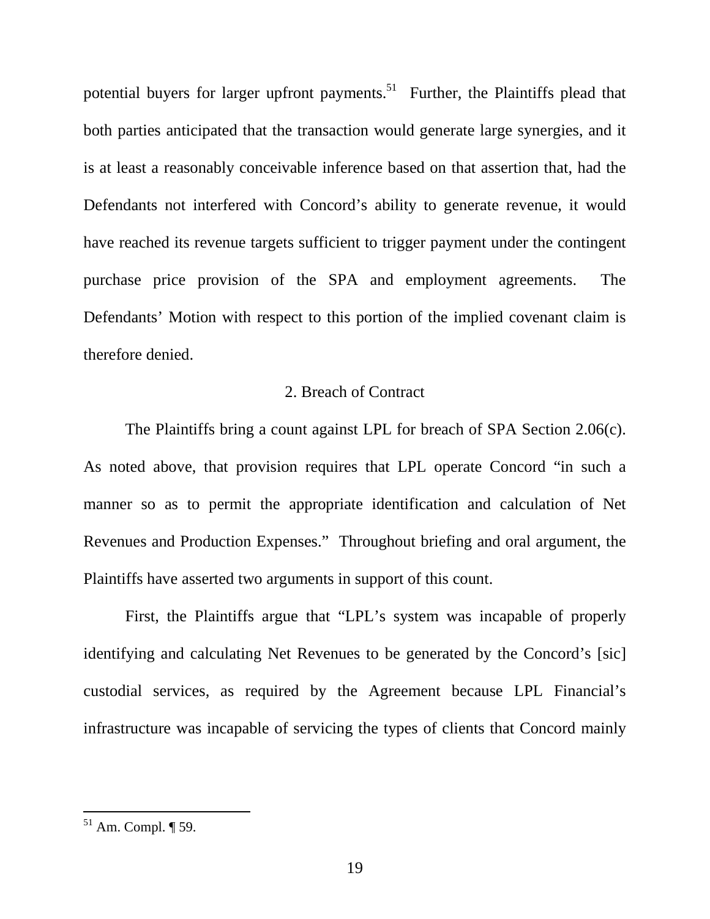potential buyers for larger upfront payments.<sup>51</sup> Further, the Plaintiffs plead that both parties anticipated that the transaction would generate large synergies, and it is at least a reasonably conceivable inference based on that assertion that, had the Defendants not interfered with Concord's ability to generate revenue, it would have reached its revenue targets sufficient to trigger payment under the contingent purchase price provision of the SPA and employment agreements. The Defendants' Motion with respect to this portion of the implied covenant claim is therefore denied.

# 2. Breach of Contract

 The Plaintiffs bring a count against LPL for breach of SPA Section 2.06(c). As noted above, that provision requires that LPL operate Concord "in such a manner so as to permit the appropriate identification and calculation of Net Revenues and Production Expenses." Throughout briefing and oral argument, the Plaintiffs have asserted two arguments in support of this count.

 First, the Plaintiffs argue that "LPL's system was incapable of properly identifying and calculating Net Revenues to be generated by the Concord's [sic] custodial services, as required by the Agreement because LPL Financial's infrastructure was incapable of servicing the types of clients that Concord mainly

 $51$  Am. Compl.  $\P$  59.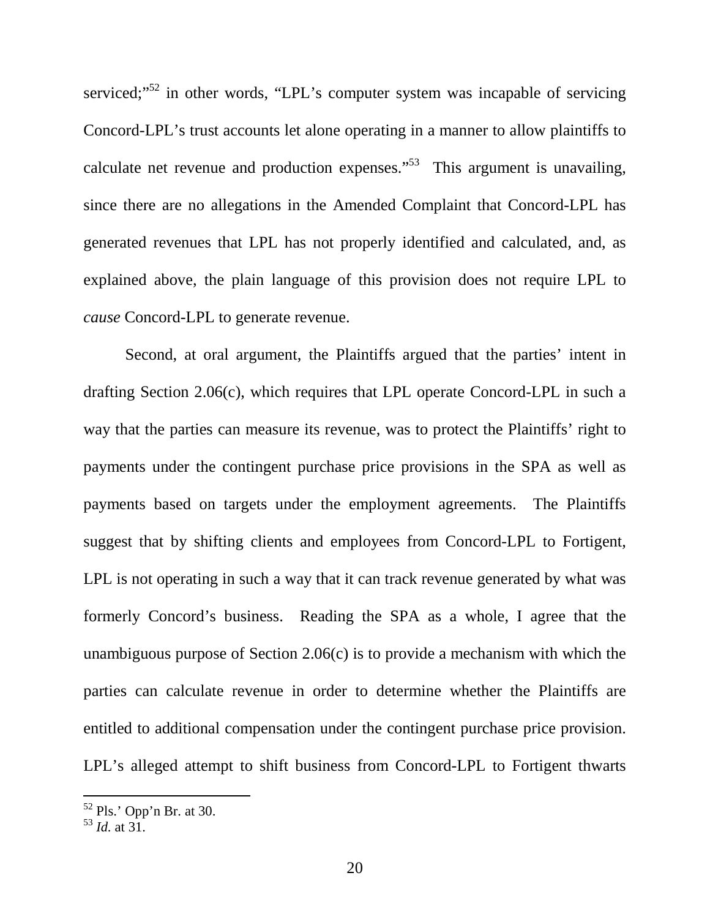serviced;"<sup>52</sup> in other words, "LPL's computer system was incapable of servicing Concord-LPL's trust accounts let alone operating in a manner to allow plaintiffs to calculate net revenue and production expenses.<sup> $53$ </sup> This argument is unavailing, since there are no allegations in the Amended Complaint that Concord-LPL has generated revenues that LPL has not properly identified and calculated, and, as explained above, the plain language of this provision does not require LPL to *cause* Concord-LPL to generate revenue.

 Second, at oral argument, the Plaintiffs argued that the parties' intent in drafting Section 2.06(c), which requires that LPL operate Concord-LPL in such a way that the parties can measure its revenue, was to protect the Plaintiffs' right to payments under the contingent purchase price provisions in the SPA as well as payments based on targets under the employment agreements. The Plaintiffs suggest that by shifting clients and employees from Concord-LPL to Fortigent, LPL is not operating in such a way that it can track revenue generated by what was formerly Concord's business. Reading the SPA as a whole, I agree that the unambiguous purpose of Section 2.06(c) is to provide a mechanism with which the parties can calculate revenue in order to determine whether the Plaintiffs are entitled to additional compensation under the contingent purchase price provision. LPL's alleged attempt to shift business from Concord-LPL to Fortigent thwarts

 $52$  Pls.' Opp'n Br. at 30.

 $^{53}$  *Id.* at 31.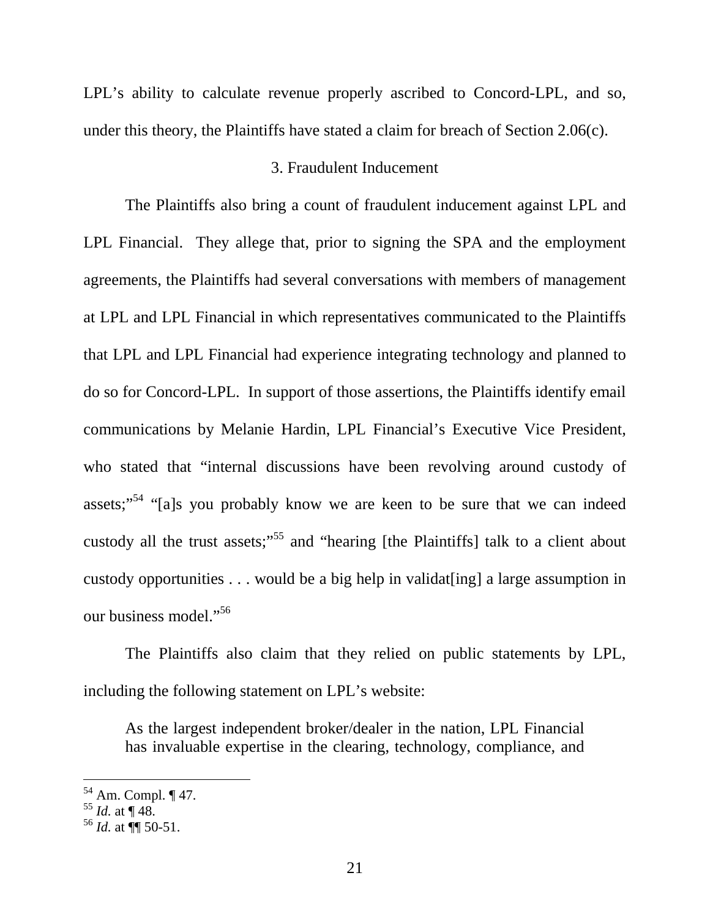LPL's ability to calculate revenue properly ascribed to Concord-LPL, and so, under this theory, the Plaintiffs have stated a claim for breach of Section 2.06(c).

# 3. Fraudulent Inducement

 The Plaintiffs also bring a count of fraudulent inducement against LPL and LPL Financial. They allege that, prior to signing the SPA and the employment agreements, the Plaintiffs had several conversations with members of management at LPL and LPL Financial in which representatives communicated to the Plaintiffs that LPL and LPL Financial had experience integrating technology and planned to do so for Concord-LPL. In support of those assertions, the Plaintiffs identify email communications by Melanie Hardin, LPL Financial's Executive Vice President, who stated that "internal discussions have been revolving around custody of assets;"<sup>54</sup> "[a]s you probably know we are keen to be sure that we can indeed custody all the trust assets;"<sup>55</sup> and "hearing [the Plaintiffs] talk to a client about custody opportunities . . . would be a big help in validat[ing] a large assumption in our business model."<sup>56</sup>

The Plaintiffs also claim that they relied on public statements by LPL, including the following statement on LPL's website:

As the largest independent broker/dealer in the nation, LPL Financial has invaluable expertise in the clearing, technology, compliance, and

<sup>54</sup> Am. Compl. ¶ 47.

 $55$  *Id.* at  $\P$  48.

 $^{56}$  *Id.* at  $\P$  50-51.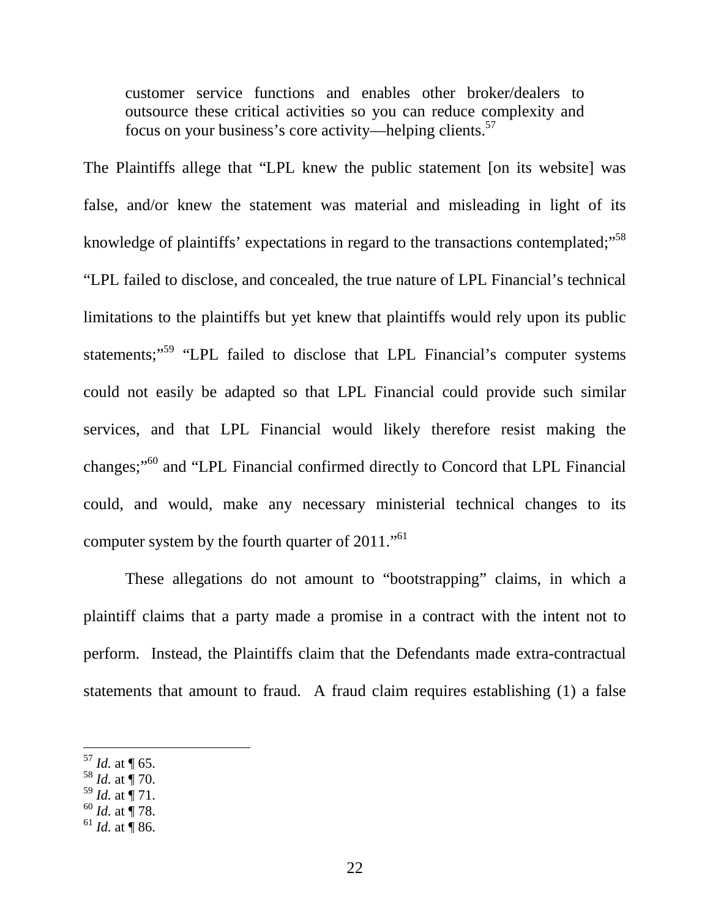customer service functions and enables other broker/dealers to outsource these critical activities so you can reduce complexity and focus on your business's core activity—helping clients.<sup>57</sup>

The Plaintiffs allege that "LPL knew the public statement [on its website] was false, and/or knew the statement was material and misleading in light of its knowledge of plaintiffs' expectations in regard to the transactions contemplated;"<sup>58</sup> "LPL failed to disclose, and concealed, the true nature of LPL Financial's technical limitations to the plaintiffs but yet knew that plaintiffs would rely upon its public statements;<sup>"59</sup> "LPL failed to disclose that LPL Financial's computer systems could not easily be adapted so that LPL Financial could provide such similar services, and that LPL Financial would likely therefore resist making the changes;"<sup>60</sup> and "LPL Financial confirmed directly to Concord that LPL Financial could, and would, make any necessary ministerial technical changes to its computer system by the fourth quarter of  $2011$ ."<sup>61</sup>

 These allegations do not amount to "bootstrapping" claims, in which a plaintiff claims that a party made a promise in a contract with the intent not to perform. Instead, the Plaintiffs claim that the Defendants made extra-contractual statements that amount to fraud. A fraud claim requires establishing (1) a false

- $^{58}$  *Id.* at  $\dot{$ } 70.
- $^{59}$  *Id.* at  $\frac{1}{1}$  71.
- <sup>60</sup> *Id.* at ¶ 78.
- $^{61}$  *Id.* at  $\overline{9}$  86.

 $57$  *Id.* at  $\P$  65.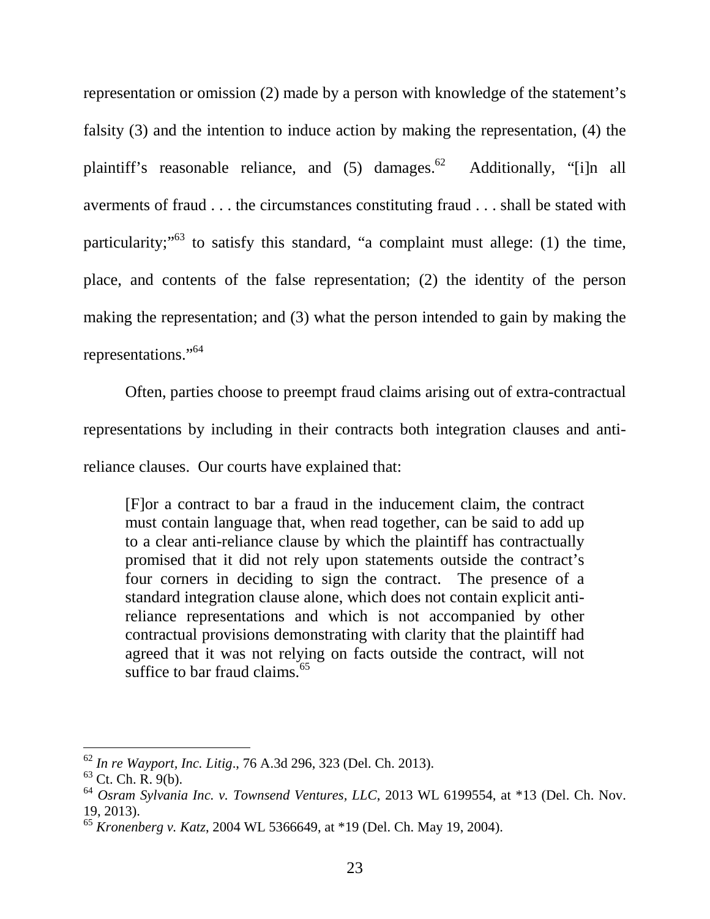representation or omission (2) made by a person with knowledge of the statement's falsity (3) and the intention to induce action by making the representation, (4) the plaintiff's reasonable reliance, and  $(5)$  damages.<sup>62</sup> Additionally, "[i]n all averments of fraud . . . the circumstances constituting fraud . . . shall be stated with particularity;<sup> $53$ </sup> to satisfy this standard, "a complaint must allege: (1) the time, place, and contents of the false representation; (2) the identity of the person making the representation; and (3) what the person intended to gain by making the representations."<sup>64</sup>

 Often, parties choose to preempt fraud claims arising out of extra-contractual representations by including in their contracts both integration clauses and antireliance clauses. Our courts have explained that:

[F]or a contract to bar a fraud in the inducement claim, the contract must contain language that, when read together, can be said to add up to a clear anti-reliance clause by which the plaintiff has contractually promised that it did not rely upon statements outside the contract's four corners in deciding to sign the contract. The presence of a standard integration clause alone, which does not contain explicit antireliance representations and which is not accompanied by other contractual provisions demonstrating with clarity that the plaintiff had agreed that it was not relying on facts outside the contract, will not suffice to bar fraud claims. $65$ 

<sup>62</sup> *In re Wayport, Inc. Litig*., 76 A.3d 296, 323 (Del. Ch. 2013).

 $63$  Ct. Ch. R. 9(b).

<sup>64</sup> *Osram Sylvania Inc. v. Townsend Ventures, LLC*, 2013 WL 6199554, at \*13 (Del. Ch. Nov. 19, 2013).

<sup>65</sup> *Kronenberg v. Katz*, 2004 WL 5366649, at \*19 (Del. Ch. May 19, 2004).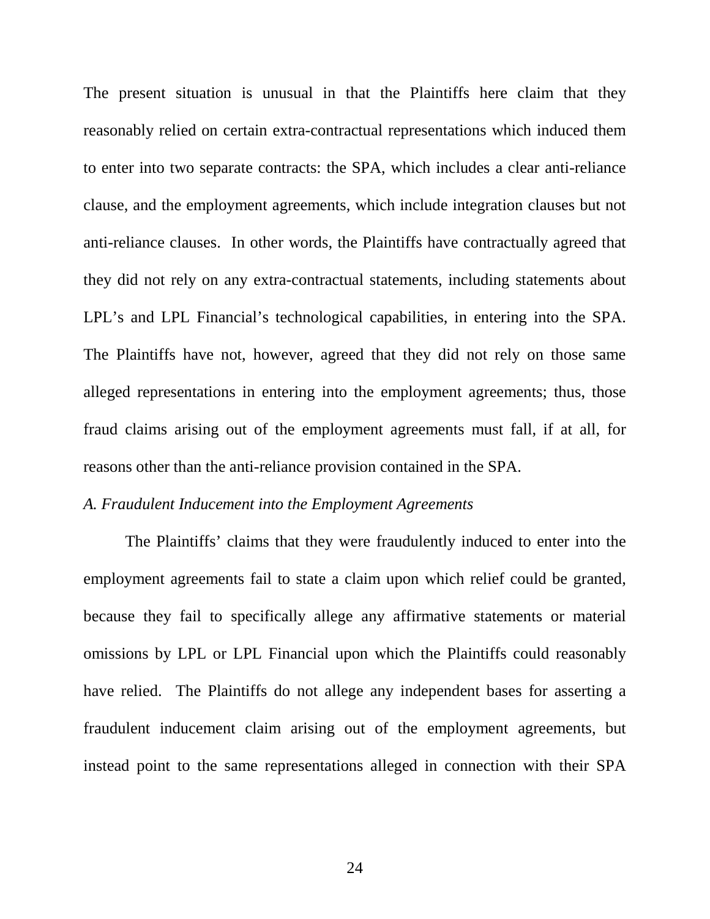The present situation is unusual in that the Plaintiffs here claim that they reasonably relied on certain extra-contractual representations which induced them to enter into two separate contracts: the SPA, which includes a clear anti-reliance clause, and the employment agreements, which include integration clauses but not anti-reliance clauses. In other words, the Plaintiffs have contractually agreed that they did not rely on any extra-contractual statements, including statements about LPL's and LPL Financial's technological capabilities, in entering into the SPA. The Plaintiffs have not, however, agreed that they did not rely on those same alleged representations in entering into the employment agreements; thus, those fraud claims arising out of the employment agreements must fall, if at all, for reasons other than the anti-reliance provision contained in the SPA.

### *A. Fraudulent Inducement into the Employment Agreements*

The Plaintiffs' claims that they were fraudulently induced to enter into the employment agreements fail to state a claim upon which relief could be granted, because they fail to specifically allege any affirmative statements or material omissions by LPL or LPL Financial upon which the Plaintiffs could reasonably have relied. The Plaintiffs do not allege any independent bases for asserting a fraudulent inducement claim arising out of the employment agreements, but instead point to the same representations alleged in connection with their SPA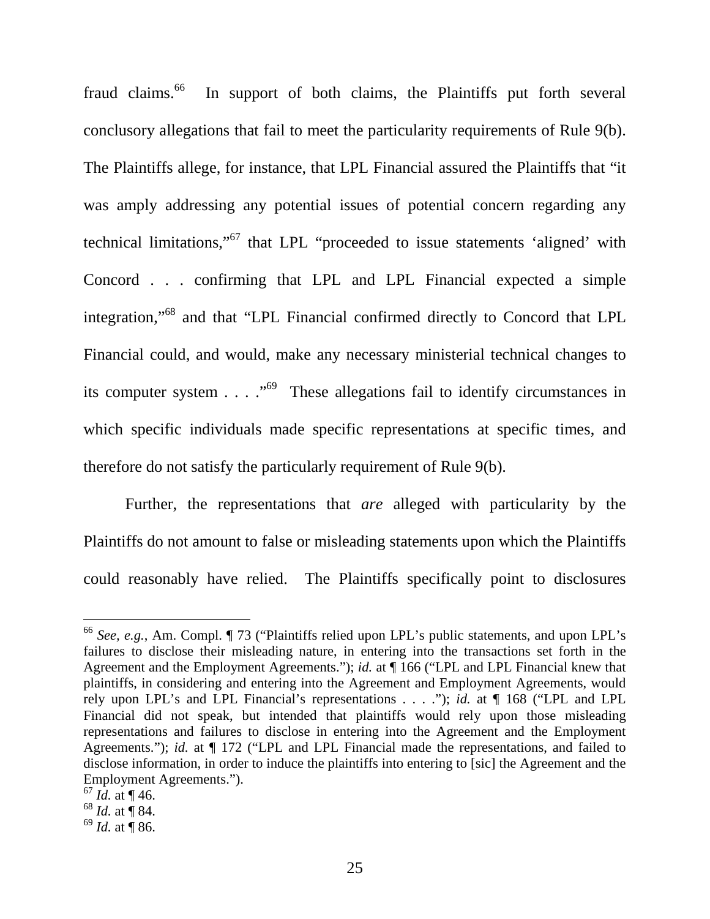fraud claims.<sup>66</sup> In support of both claims, the Plaintiffs put forth several conclusory allegations that fail to meet the particularity requirements of Rule 9(b). The Plaintiffs allege, for instance, that LPL Financial assured the Plaintiffs that "it was amply addressing any potential issues of potential concern regarding any technical limitations,"<sup>67</sup> that LPL "proceeded to issue statements 'aligned' with Concord . . . confirming that LPL and LPL Financial expected a simple integration,"<sup>68</sup> and that "LPL Financial confirmed directly to Concord that LPL Financial could, and would, make any necessary ministerial technical changes to its computer system  $\ldots$  ."<sup>69</sup> These allegations fail to identify circumstances in which specific individuals made specific representations at specific times, and therefore do not satisfy the particularly requirement of Rule 9(b).

Further, the representations that *are* alleged with particularity by the Plaintiffs do not amount to false or misleading statements upon which the Plaintiffs could reasonably have relied. The Plaintiffs specifically point to disclosures

<sup>66</sup> *See, e.g.*, Am. Compl. ¶ 73 ("Plaintiffs relied upon LPL's public statements, and upon LPL's failures to disclose their misleading nature, in entering into the transactions set forth in the Agreement and the Employment Agreements."); *id.* at ¶ 166 ("LPL and LPL Financial knew that plaintiffs, in considering and entering into the Agreement and Employment Agreements, would rely upon LPL's and LPL Financial's representations . . . ."); *id.* at ¶ 168 ("LPL and LPL Financial did not speak, but intended that plaintiffs would rely upon those misleading representations and failures to disclose in entering into the Agreement and the Employment Agreements."); *id.* at  $\P$  172 ("LPL and LPL Financial made the representations, and failed to disclose information, in order to induce the plaintiffs into entering to [sic] the Agreement and the Employment Agreements.").

 $^{67}$  *Id.* at ¶ 46.

 $68$  *Id.* at  $\overline{9}$  84.

 $69$  *Id.* at **[86.**]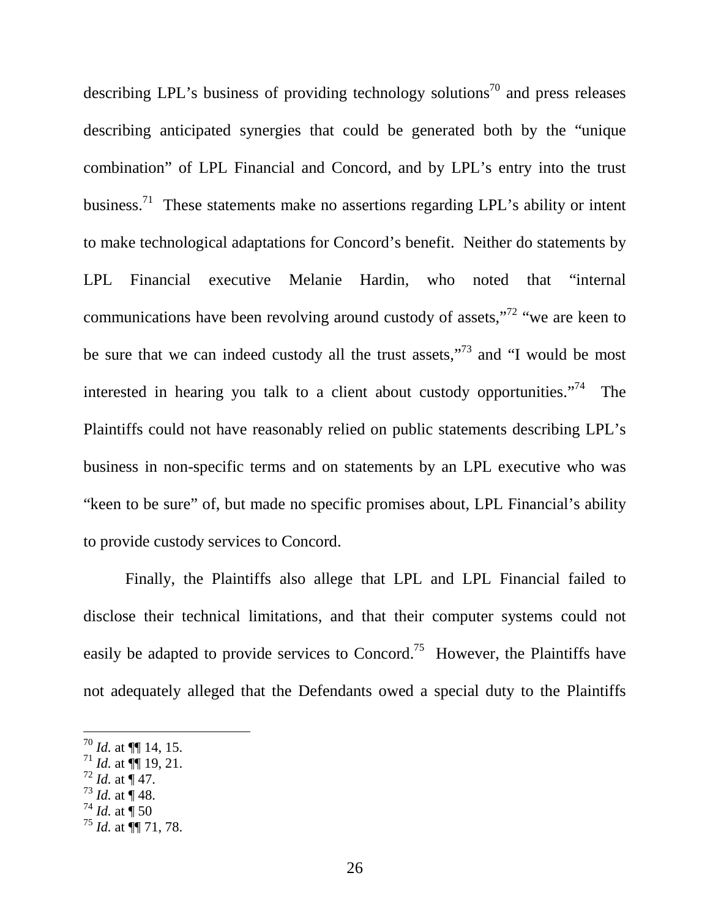describing LPL's business of providing technology solutions<sup>70</sup> and press releases describing anticipated synergies that could be generated both by the "unique combination" of LPL Financial and Concord, and by LPL's entry into the trust business.<sup>71</sup> These statements make no assertions regarding LPL's ability or intent to make technological adaptations for Concord's benefit. Neither do statements by LPL Financial executive Melanie Hardin, who noted that "internal communications have been revolving around custody of assets,"<sup>72</sup> "we are keen to be sure that we can indeed custody all the trust assets,"<sup>73</sup> and "I would be most interested in hearing you talk to a client about custody opportunities."<sup>74</sup> The Plaintiffs could not have reasonably relied on public statements describing LPL's business in non-specific terms and on statements by an LPL executive who was "keen to be sure" of, but made no specific promises about, LPL Financial's ability to provide custody services to Concord.

Finally, the Plaintiffs also allege that LPL and LPL Financial failed to disclose their technical limitations, and that their computer systems could not easily be adapted to provide services to Concord.<sup>75</sup> However, the Plaintiffs have not adequately alleged that the Defendants owed a special duty to the Plaintiffs

 $^{72}$  *Id.* at  $\frac{1}{4}$  47.

-

 $^{74}$  *Id.* at  $\frac{1}{1}$  50

 $^{70}$  *Id.* at  $\P\P$  14, 15.

 $^{71}$  *Id.* at  $\overline{}}$  19, 21.

 $^{73}$  *Id.* at  $\overline{$  48.

<sup>75</sup> *Id.* at ¶¶ 71, 78.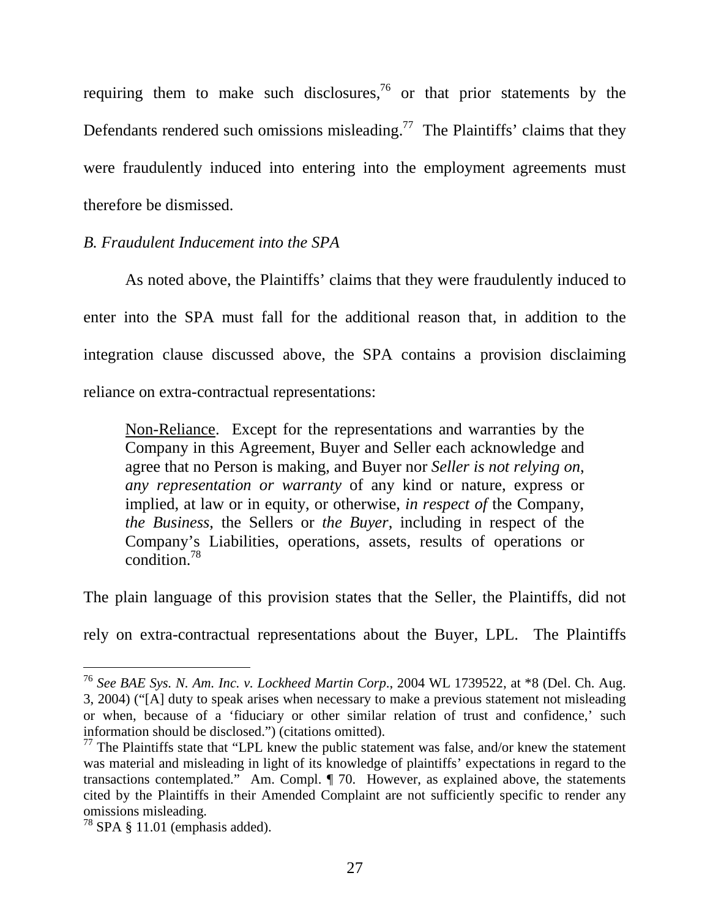requiring them to make such disclosures,<sup>76</sup> or that prior statements by the Defendants rendered such omissions misleading.<sup>77</sup> The Plaintiffs' claims that they were fraudulently induced into entering into the employment agreements must therefore be dismissed.

### *B. Fraudulent Inducement into the SPA*

As noted above, the Plaintiffs' claims that they were fraudulently induced to enter into the SPA must fall for the additional reason that, in addition to the integration clause discussed above, the SPA contains a provision disclaiming reliance on extra-contractual representations:

Non-Reliance. Except for the representations and warranties by the Company in this Agreement, Buyer and Seller each acknowledge and agree that no Person is making, and Buyer nor *Seller is not relying on*, *any representation or warranty* of any kind or nature, express or implied, at law or in equity, or otherwise, *in respect of* the Company, *the Business*, the Sellers or *the Buyer*, including in respect of the Company's Liabilities, operations, assets, results of operations or condition.<sup>78</sup>

The plain language of this provision states that the Seller, the Plaintiffs, did not

rely on extra-contractual representations about the Buyer, LPL. The Plaintiffs

<sup>76</sup> *See BAE Sys. N. Am. Inc. v. Lockheed Martin Corp*., 2004 WL 1739522, at \*8 (Del. Ch. Aug. 3, 2004) ("[A] duty to speak arises when necessary to make a previous statement not misleading or when, because of a 'fiduciary or other similar relation of trust and confidence,' such information should be disclosed.") (citations omitted).

 $<sup>77</sup>$  The Plaintiffs state that "LPL knew the public statement was false, and/or knew the statement</sup> was material and misleading in light of its knowledge of plaintiffs' expectations in regard to the transactions contemplated." Am. Compl. ¶ 70. However, as explained above, the statements cited by the Plaintiffs in their Amended Complaint are not sufficiently specific to render any omissions misleading.

 $78$  SPA § 11.01 (emphasis added).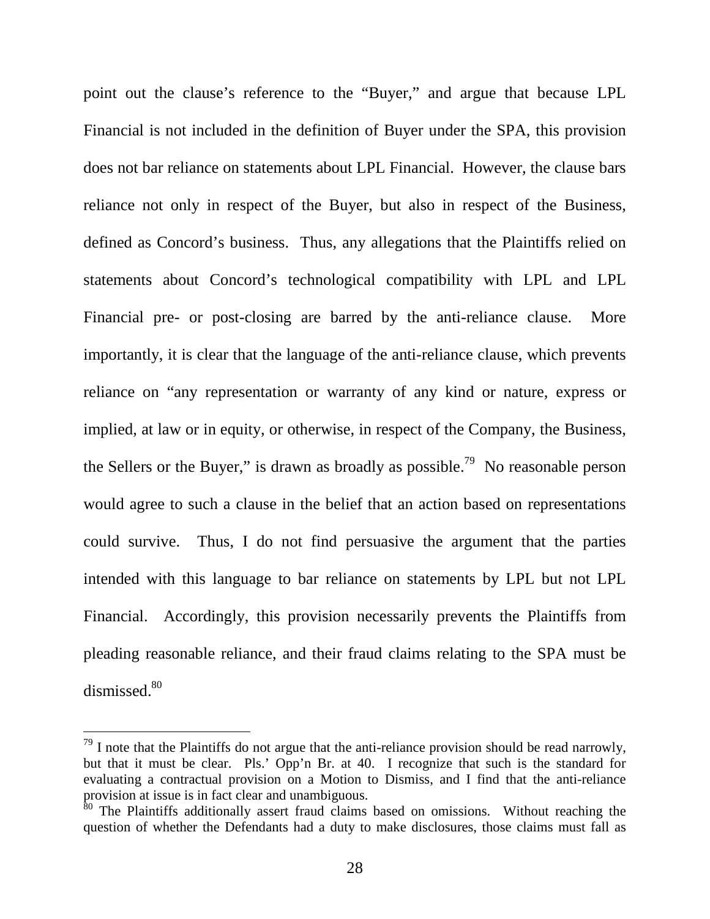point out the clause's reference to the "Buyer," and argue that because LPL Financial is not included in the definition of Buyer under the SPA, this provision does not bar reliance on statements about LPL Financial. However, the clause bars reliance not only in respect of the Buyer, but also in respect of the Business, defined as Concord's business. Thus, any allegations that the Plaintiffs relied on statements about Concord's technological compatibility with LPL and LPL Financial pre- or post-closing are barred by the anti-reliance clause. More importantly, it is clear that the language of the anti-reliance clause, which prevents reliance on "any representation or warranty of any kind or nature, express or implied, at law or in equity, or otherwise, in respect of the Company, the Business, the Sellers or the Buyer," is drawn as broadly as possible.<sup>79</sup> No reasonable person would agree to such a clause in the belief that an action based on representations could survive. Thus, I do not find persuasive the argument that the parties intended with this language to bar reliance on statements by LPL but not LPL Financial. Accordingly, this provision necessarily prevents the Plaintiffs from pleading reasonable reliance, and their fraud claims relating to the SPA must be dismissed.<sup>80</sup>

 $79$  I note that the Plaintiffs do not argue that the anti-reliance provision should be read narrowly, but that it must be clear. Pls.' Opp'n Br. at 40. I recognize that such is the standard for evaluating a contractual provision on a Motion to Dismiss, and I find that the anti-reliance provision at issue is in fact clear and unambiguous.

<sup>80</sup> The Plaintiffs additionally assert fraud claims based on omissions. Without reaching the question of whether the Defendants had a duty to make disclosures, those claims must fall as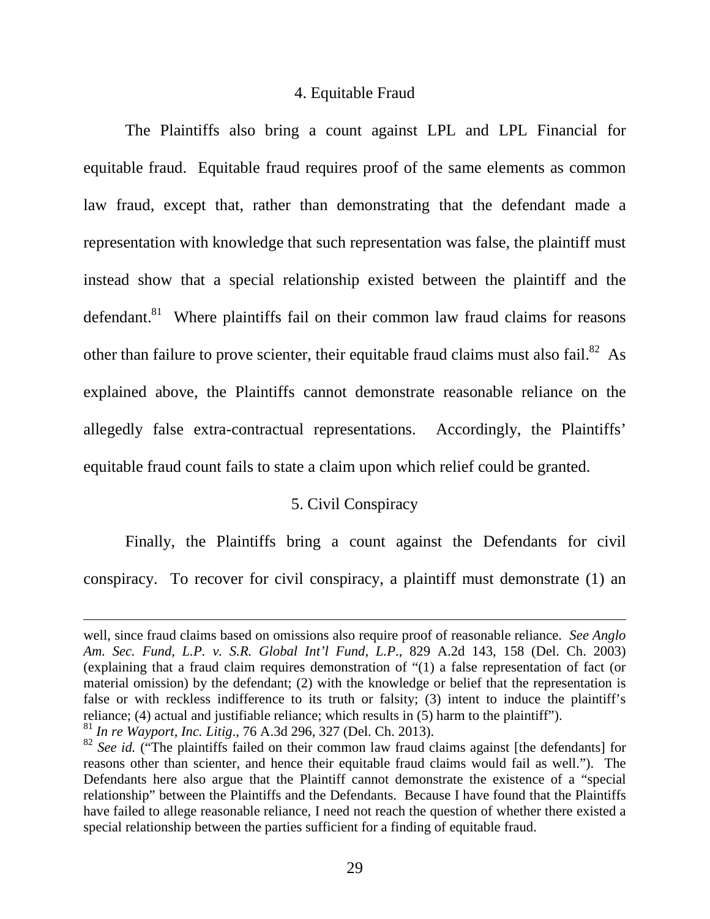### 4. Equitable Fraud

 The Plaintiffs also bring a count against LPL and LPL Financial for equitable fraud. Equitable fraud requires proof of the same elements as common law fraud, except that, rather than demonstrating that the defendant made a representation with knowledge that such representation was false, the plaintiff must instead show that a special relationship existed between the plaintiff and the defendant.<sup>81</sup> Where plaintiffs fail on their common law fraud claims for reasons other than failure to prove scienter, their equitable fraud claims must also fail.<sup>82</sup> As explained above, the Plaintiffs cannot demonstrate reasonable reliance on the allegedly false extra-contractual representations. Accordingly, the Plaintiffs' equitable fraud count fails to state a claim upon which relief could be granted.

# 5. Civil Conspiracy

 Finally, the Plaintiffs bring a count against the Defendants for civil conspiracy. To recover for civil conspiracy, a plaintiff must demonstrate (1) an

<sup>81</sup> *In re Wayport, Inc. Litig*., 76 A.3d 296, 327 (Del. Ch. 2013).

well, since fraud claims based on omissions also require proof of reasonable reliance. *See Anglo Am. Sec. Fund, L.P. v. S.R. Global Int'l Fund, L.P*., 829 A.2d 143, 158 (Del. Ch. 2003) (explaining that a fraud claim requires demonstration of "(1) a false representation of fact (or material omission) by the defendant; (2) with the knowledge or belief that the representation is false or with reckless indifference to its truth or falsity; (3) intent to induce the plaintiff's reliance; (4) actual and justifiable reliance; which results in (5) harm to the plaintiff").

<sup>&</sup>lt;sup>82</sup> *See id.* ("The plaintiffs failed on their common law fraud claims against [the defendants] for reasons other than scienter, and hence their equitable fraud claims would fail as well."). The Defendants here also argue that the Plaintiff cannot demonstrate the existence of a "special relationship" between the Plaintiffs and the Defendants. Because I have found that the Plaintiffs have failed to allege reasonable reliance, I need not reach the question of whether there existed a special relationship between the parties sufficient for a finding of equitable fraud.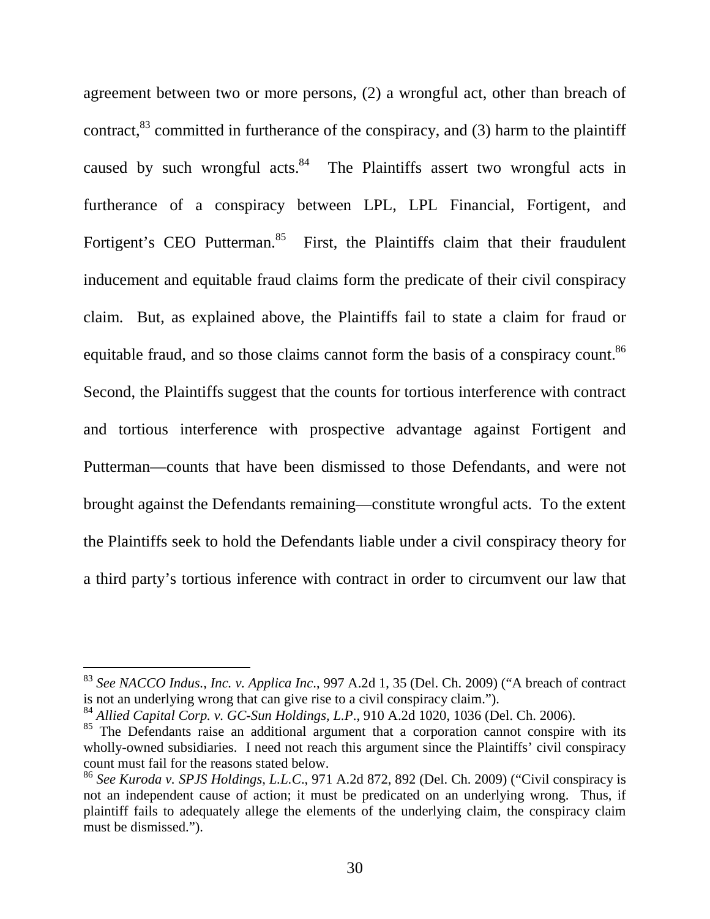agreement between two or more persons, (2) a wrongful act, other than breach of contract,  $83$  committed in furtherance of the conspiracy, and (3) harm to the plaintiff caused by such wrongful acts. $84$  The Plaintiffs assert two wrongful acts in furtherance of a conspiracy between LPL, LPL Financial, Fortigent, and Fortigent's CEO Putterman.<sup>85</sup> First, the Plaintiffs claim that their fraudulent inducement and equitable fraud claims form the predicate of their civil conspiracy claim. But, as explained above, the Plaintiffs fail to state a claim for fraud or equitable fraud, and so those claims cannot form the basis of a conspiracy count.<sup>86</sup> Second, the Plaintiffs suggest that the counts for tortious interference with contract and tortious interference with prospective advantage against Fortigent and Putterman—counts that have been dismissed to those Defendants, and were not brought against the Defendants remaining—constitute wrongful acts. To the extent the Plaintiffs seek to hold the Defendants liable under a civil conspiracy theory for a third party's tortious inference with contract in order to circumvent our law that

<sup>83</sup> *See NACCO Indus., Inc. v. Applica Inc*., 997 A.2d 1, 35 (Del. Ch. 2009) ("A breach of contract is not an underlying wrong that can give rise to a civil conspiracy claim.").

<sup>84</sup> *Allied Capital Corp. v. GC-Sun Holdings, L.P*., 910 A.2d 1020, 1036 (Del. Ch. 2006).

<sup>&</sup>lt;sup>85</sup> The Defendants raise an additional argument that a corporation cannot conspire with its wholly-owned subsidiaries. I need not reach this argument since the Plaintiffs' civil conspiracy count must fail for the reasons stated below.

<sup>86</sup> *See Kuroda v. SPJS Holdings, L.L.C*., 971 A.2d 872, 892 (Del. Ch. 2009) ("Civil conspiracy is not an independent cause of action; it must be predicated on an underlying wrong. Thus, if plaintiff fails to adequately allege the elements of the underlying claim, the conspiracy claim must be dismissed.").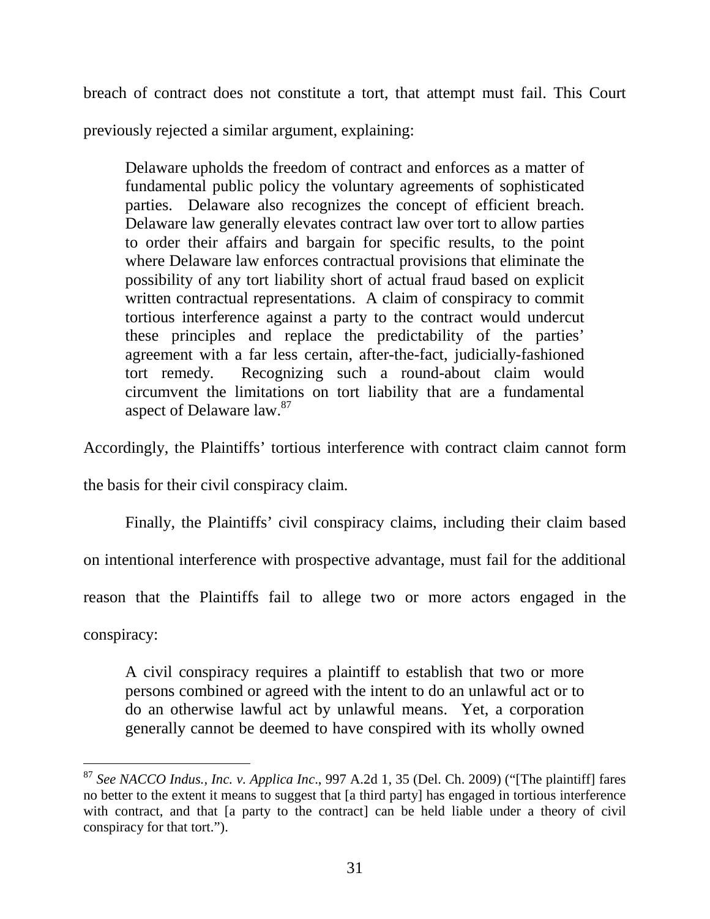breach of contract does not constitute a tort, that attempt must fail. This Court

previously rejected a similar argument, explaining:

Delaware upholds the freedom of contract and enforces as a matter of fundamental public policy the voluntary agreements of sophisticated parties. Delaware also recognizes the concept of efficient breach. Delaware law generally elevates contract law over tort to allow parties to order their affairs and bargain for specific results, to the point where Delaware law enforces contractual provisions that eliminate the possibility of any tort liability short of actual fraud based on explicit written contractual representations. A claim of conspiracy to commit tortious interference against a party to the contract would undercut these principles and replace the predictability of the parties' agreement with a far less certain, after-the-fact, judicially-fashioned tort remedy. Recognizing such a round-about claim would circumvent the limitations on tort liability that are a fundamental aspect of Delaware law.<sup>87</sup>

Accordingly, the Plaintiffs' tortious interference with contract claim cannot form

the basis for their civil conspiracy claim.

Finally, the Plaintiffs' civil conspiracy claims, including their claim based

on intentional interference with prospective advantage, must fail for the additional

reason that the Plaintiffs fail to allege two or more actors engaged in the

conspiracy:

-

A civil conspiracy requires a plaintiff to establish that two or more persons combined or agreed with the intent to do an unlawful act or to do an otherwise lawful act by unlawful means. Yet, a corporation generally cannot be deemed to have conspired with its wholly owned

<sup>87</sup> *See NACCO Indus., Inc. v. Applica Inc*., 997 A.2d 1, 35 (Del. Ch. 2009) ("[The plaintiff] fares no better to the extent it means to suggest that [a third party] has engaged in tortious interference with contract, and that [a party to the contract] can be held liable under a theory of civil conspiracy for that tort.").